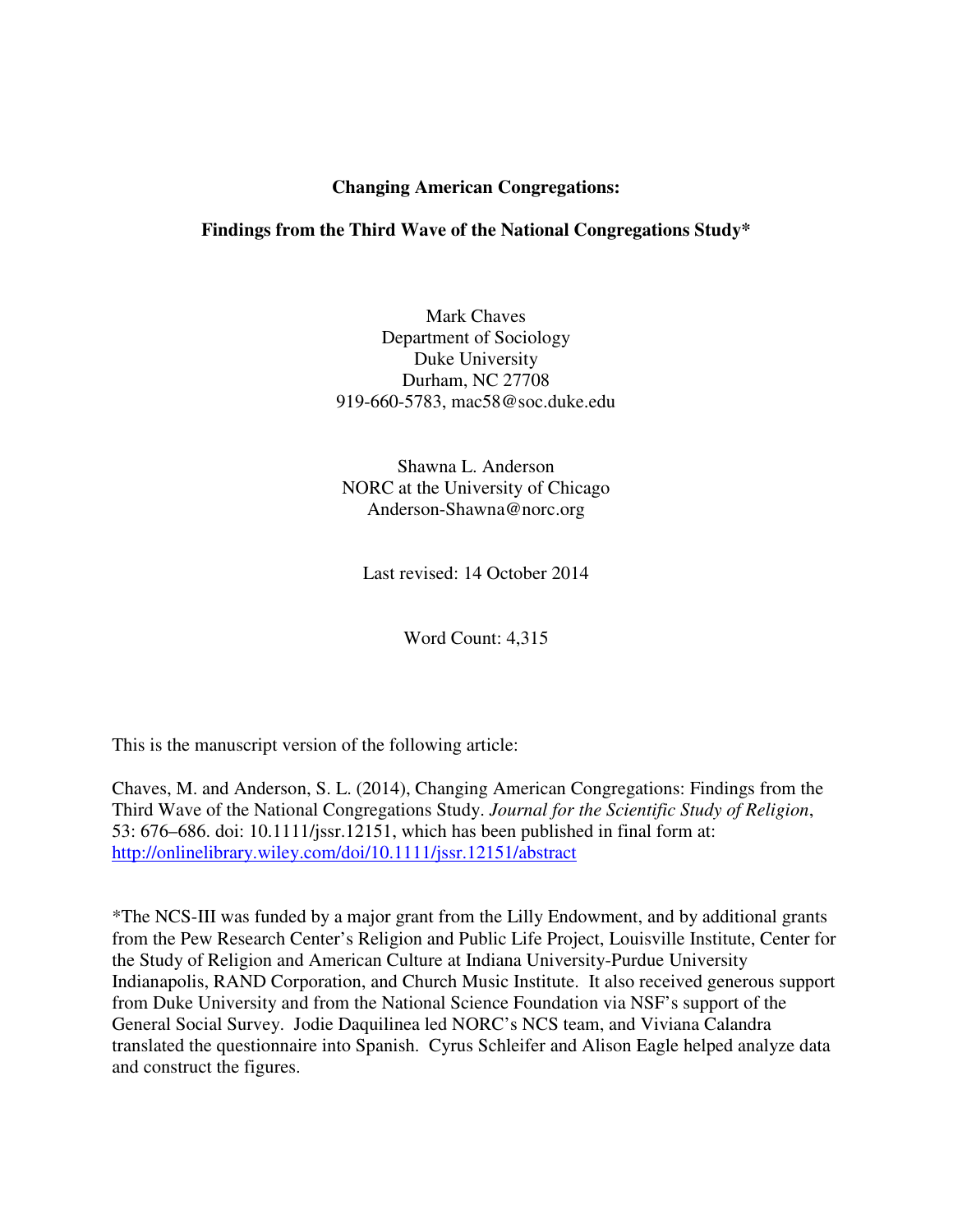# **Changing American Congregations:**

# **Findings from the Third Wave of the National Congregations Study\***

Mark Chaves Department of Sociology Duke University Durham, NC 27708 919-660-5783, mac58@soc.duke.edu

Shawna L. Anderson NORC at the University of Chicago Anderson-Shawna@norc.org

Last revised: 14 October 2014

Word Count: 4,315

This is the manuscript version of the following article:

Chaves, M. and Anderson, S. L. (2014), Changing American Congregations: Findings from the Third Wave of the National Congregations Study. *Journal for the Scientific Study of Religion*, 53: 676–686. doi: 10.1111/jssr.12151, which has been published in final form at: http://onlinelibrary.wiley.com/doi/10.1111/jssr.12151/abstract

\*The NCS-III was funded by a major grant from the Lilly Endowment, and by additional grants from the Pew Research Center's Religion and Public Life Project, Louisville Institute, Center for the Study of Religion and American Culture at Indiana University-Purdue University Indianapolis, RAND Corporation, and Church Music Institute. It also received generous support from Duke University and from the National Science Foundation via NSF's support of the General Social Survey. Jodie Daquilinea led NORC's NCS team, and Viviana Calandra translated the questionnaire into Spanish. Cyrus Schleifer and Alison Eagle helped analyze data and construct the figures.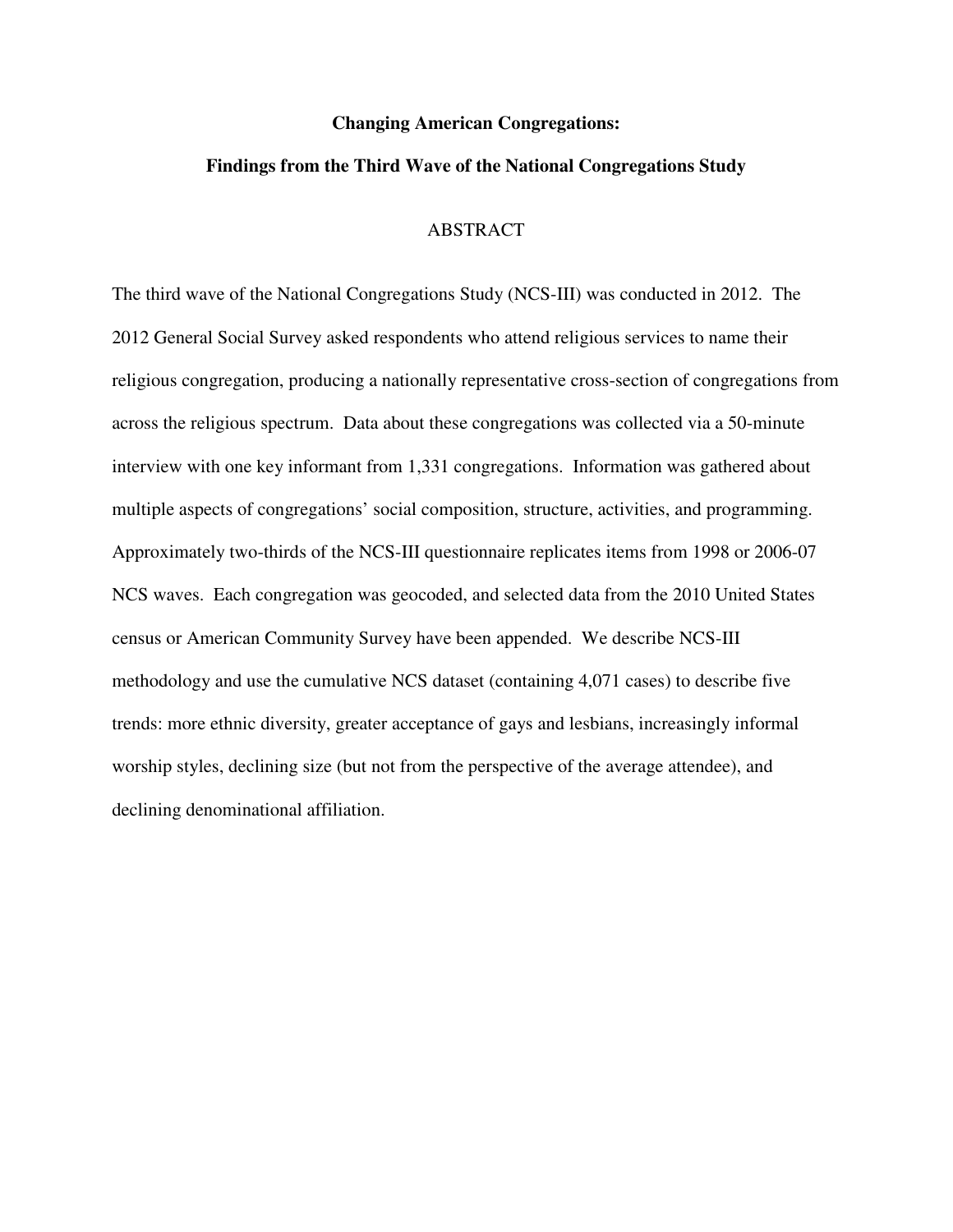#### **Changing American Congregations:**

# **Findings from the Third Wave of the National Congregations Study**

#### ABSTRACT

The third wave of the National Congregations Study (NCS-III) was conducted in 2012. The 2012 General Social Survey asked respondents who attend religious services to name their religious congregation, producing a nationally representative cross-section of congregations from across the religious spectrum. Data about these congregations was collected via a 50-minute interview with one key informant from 1,331 congregations. Information was gathered about multiple aspects of congregations' social composition, structure, activities, and programming. Approximately two-thirds of the NCS-III questionnaire replicates items from 1998 or 2006-07 NCS waves. Each congregation was geocoded, and selected data from the 2010 United States census or American Community Survey have been appended. We describe NCS-III methodology and use the cumulative NCS dataset (containing 4,071 cases) to describe five trends: more ethnic diversity, greater acceptance of gays and lesbians, increasingly informal worship styles, declining size (but not from the perspective of the average attendee), and declining denominational affiliation.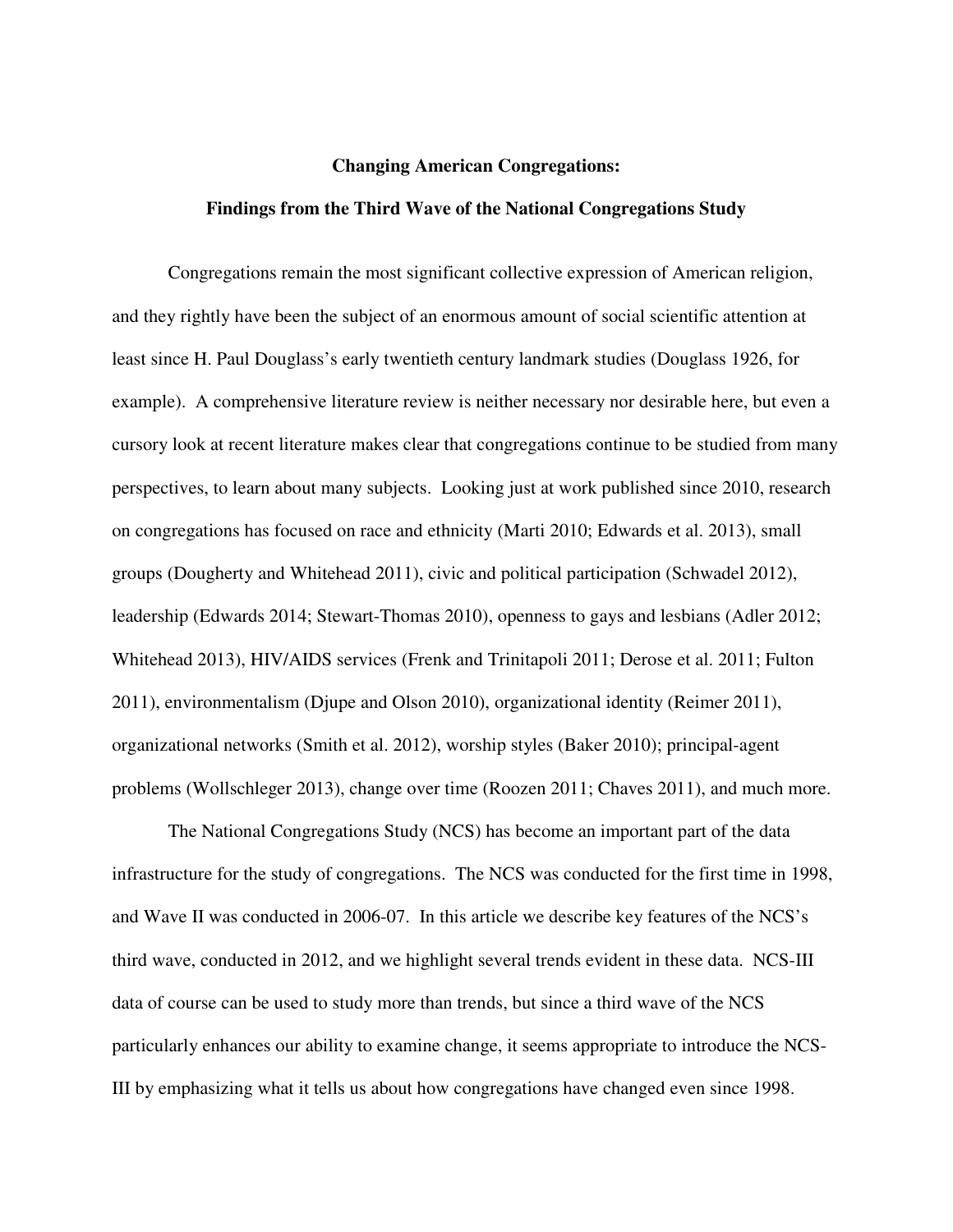#### **Changing American Congregations:**

#### **Findings from the Third Wave of the National Congregations Study**

Congregations remain the most significant collective expression of American religion, and they rightly have been the subject of an enormous amount of social scientific attention at least since H. Paul Douglass's early twentieth century landmark studies (Douglass 1926, for example). A comprehensive literature review is neither necessary nor desirable here, but even a cursory look at recent literature makes clear that congregations continue to be studied from many perspectives, to learn about many subjects. Looking just at work published since 2010, research on congregations has focused on race and ethnicity (Marti 2010; Edwards et al. 2013), small groups (Dougherty and Whitehead 2011), civic and political participation (Schwadel 2012), leadership (Edwards 2014; Stewart-Thomas 2010), openness to gays and lesbians (Adler 2012; Whitehead 2013), HIV/AIDS services (Frenk and Trinitapoli 2011; Derose et al. 2011; Fulton 2011), environmentalism (Djupe and Olson 2010), organizational identity (Reimer 2011), organizational networks (Smith et al. 2012), worship styles (Baker 2010); principal-agent problems (Wollschleger 2013), change over time (Roozen 2011; Chaves 2011), and much more.

The National Congregations Study (NCS) has become an important part of the data infrastructure for the study of congregations. The NCS was conducted for the first time in 1998, and Wave II was conducted in 2006-07. In this article we describe key features of the NCS's third wave, conducted in 2012, and we highlight several trends evident in these data. NCS-III data of course can be used to study more than trends, but since a third wave of the NCS particularly enhances our ability to examine change, it seems appropriate to introduce the NCS-III by emphasizing what it tells us about how congregations have changed even since 1998.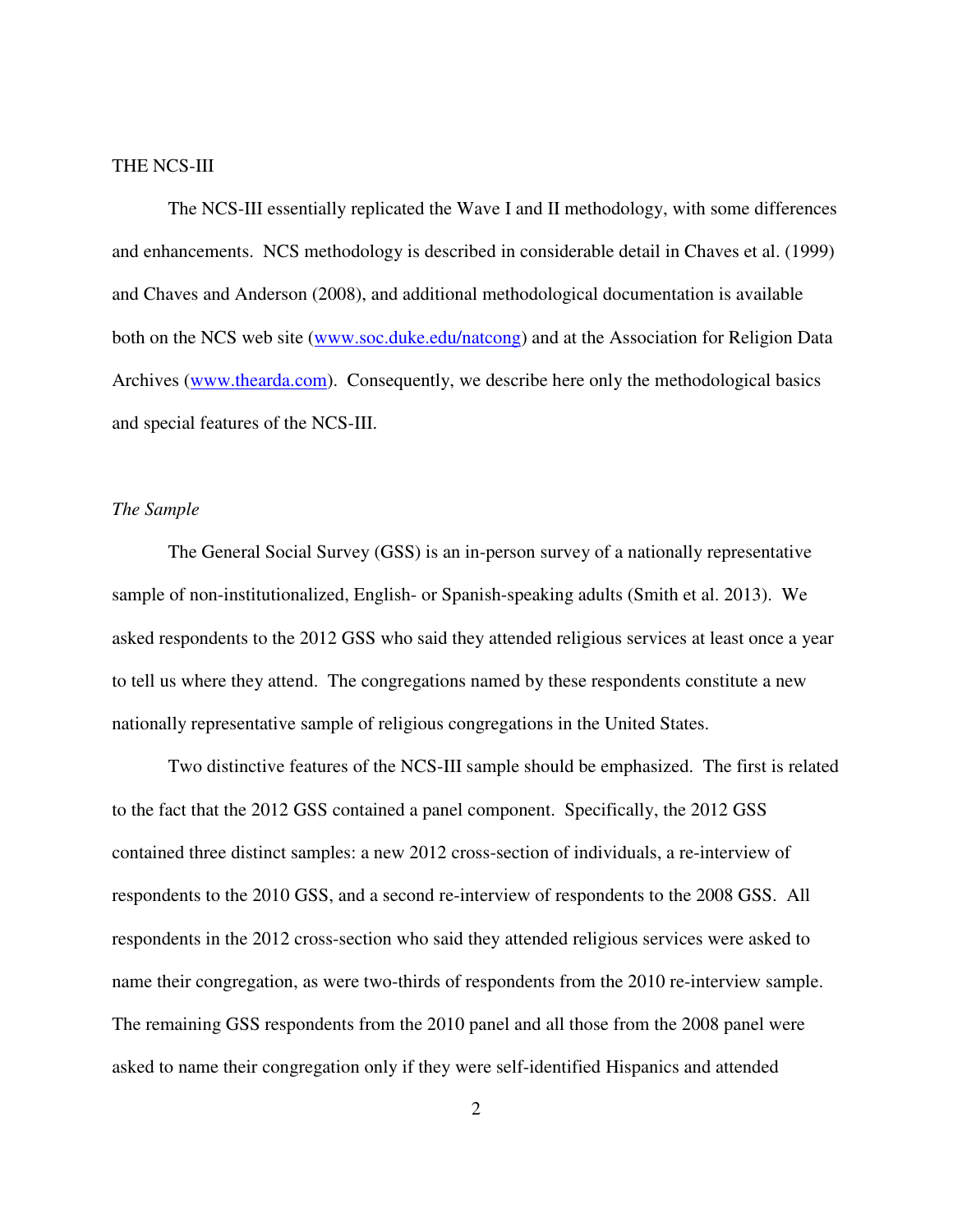#### THE NCS-III

The NCS-III essentially replicated the Wave I and II methodology, with some differences and enhancements. NCS methodology is described in considerable detail in Chaves et al. (1999) and Chaves and Anderson (2008), and additional methodological documentation is available both on the NCS web site (www.soc.duke.edu/natcong) and at the Association for Religion Data Archives (www.thearda.com). Consequently, we describe here only the methodological basics and special features of the NCS-III.

# *The Sample*

The General Social Survey (GSS) is an in-person survey of a nationally representative sample of non-institutionalized, English- or Spanish-speaking adults (Smith et al. 2013). We asked respondents to the 2012 GSS who said they attended religious services at least once a year to tell us where they attend. The congregations named by these respondents constitute a new nationally representative sample of religious congregations in the United States.

Two distinctive features of the NCS-III sample should be emphasized. The first is related to the fact that the 2012 GSS contained a panel component. Specifically, the 2012 GSS contained three distinct samples: a new 2012 cross-section of individuals, a re-interview of respondents to the 2010 GSS, and a second re-interview of respondents to the 2008 GSS. All respondents in the 2012 cross-section who said they attended religious services were asked to name their congregation, as were two-thirds of respondents from the 2010 re-interview sample. The remaining GSS respondents from the 2010 panel and all those from the 2008 panel were asked to name their congregation only if they were self-identified Hispanics and attended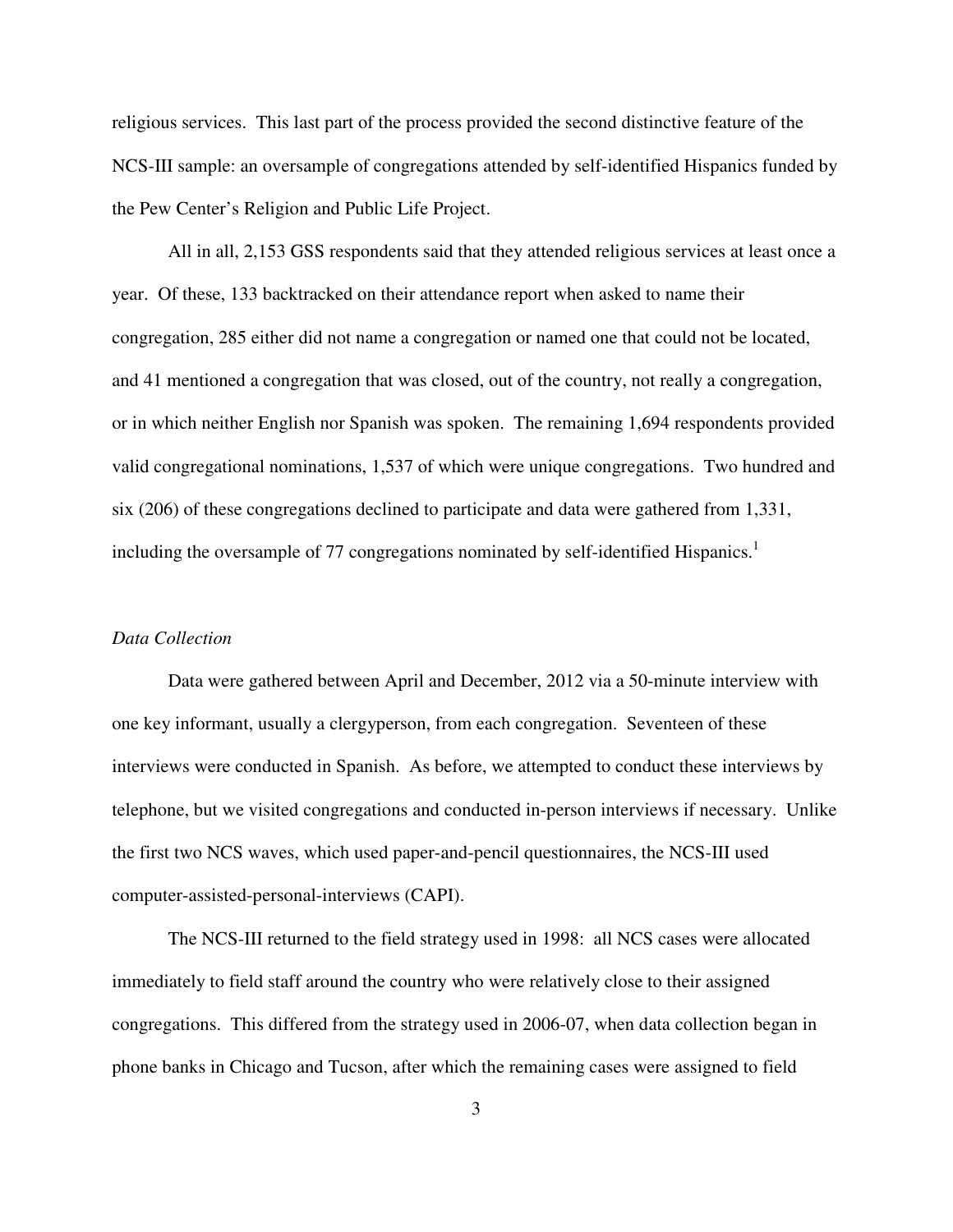religious services. This last part of the process provided the second distinctive feature of the NCS-III sample: an oversample of congregations attended by self-identified Hispanics funded by the Pew Center's Religion and Public Life Project.

All in all, 2,153 GSS respondents said that they attended religious services at least once a year. Of these, 133 backtracked on their attendance report when asked to name their congregation, 285 either did not name a congregation or named one that could not be located, and 41 mentioned a congregation that was closed, out of the country, not really a congregation, or in which neither English nor Spanish was spoken. The remaining 1,694 respondents provided valid congregational nominations, 1,537 of which were unique congregations. Two hundred and six (206) of these congregations declined to participate and data were gathered from 1,331, including the oversample of 77 congregations nominated by self-identified Hispanics.<sup>1</sup>

#### *Data Collection*

Data were gathered between April and December, 2012 via a 50-minute interview with one key informant, usually a clergyperson, from each congregation. Seventeen of these interviews were conducted in Spanish. As before, we attempted to conduct these interviews by telephone, but we visited congregations and conducted in-person interviews if necessary. Unlike the first two NCS waves, which used paper-and-pencil questionnaires, the NCS-III used computer-assisted-personal-interviews (CAPI).

The NCS-III returned to the field strategy used in 1998: all NCS cases were allocated immediately to field staff around the country who were relatively close to their assigned congregations. This differed from the strategy used in 2006-07, when data collection began in phone banks in Chicago and Tucson, after which the remaining cases were assigned to field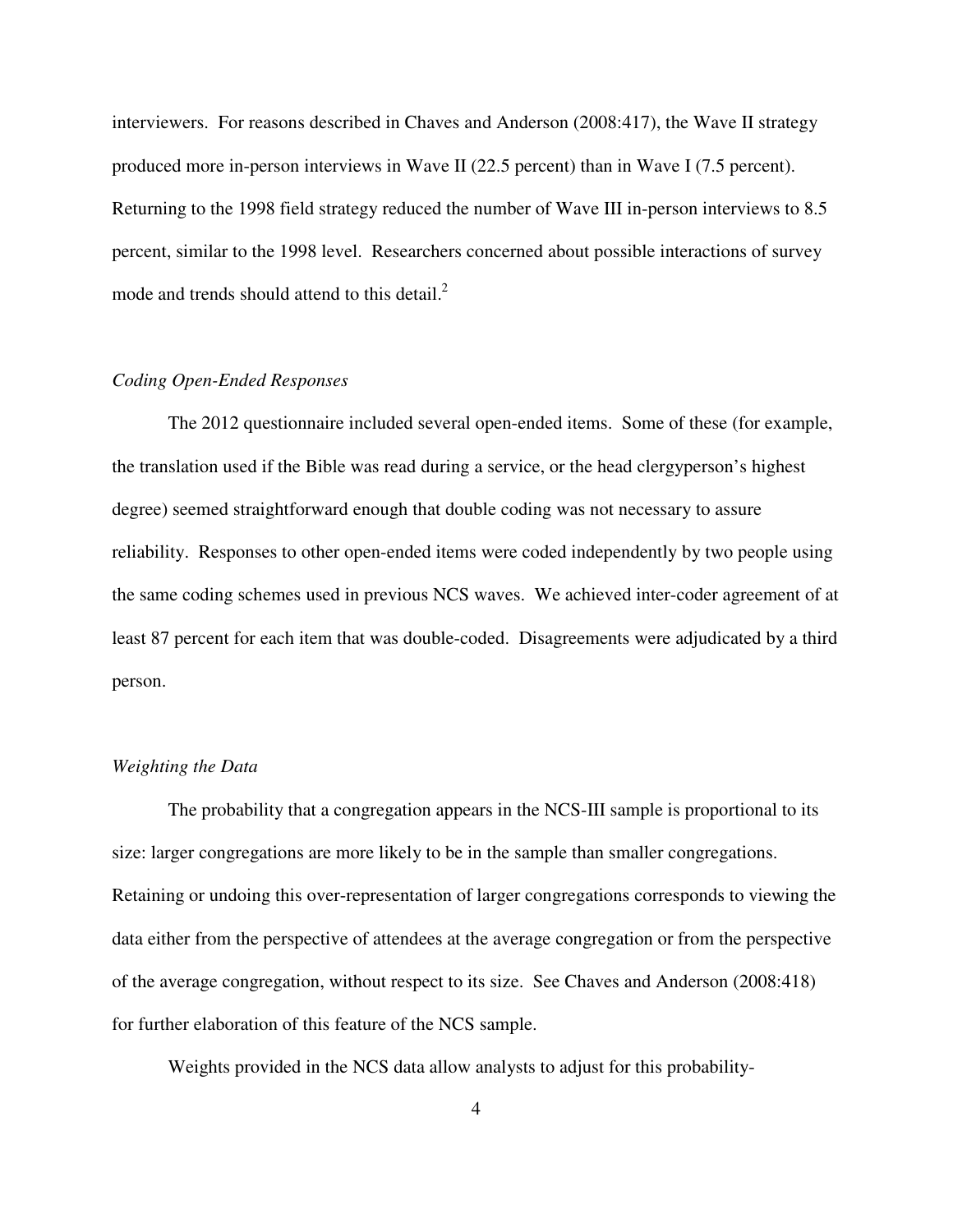interviewers. For reasons described in Chaves and Anderson (2008:417), the Wave II strategy produced more in-person interviews in Wave II (22.5 percent) than in Wave I (7.5 percent). Returning to the 1998 field strategy reduced the number of Wave III in-person interviews to 8.5 percent, similar to the 1998 level. Researchers concerned about possible interactions of survey mode and trends should attend to this detail.<sup>2</sup>

# *Coding Open-Ended Responses*

The 2012 questionnaire included several open-ended items. Some of these (for example, the translation used if the Bible was read during a service, or the head clergyperson's highest degree) seemed straightforward enough that double coding was not necessary to assure reliability. Responses to other open-ended items were coded independently by two people using the same coding schemes used in previous NCS waves. We achieved inter-coder agreement of at least 87 percent for each item that was double-coded. Disagreements were adjudicated by a third person.

# *Weighting the Data*

The probability that a congregation appears in the NCS-III sample is proportional to its size: larger congregations are more likely to be in the sample than smaller congregations. Retaining or undoing this over-representation of larger congregations corresponds to viewing the data either from the perspective of attendees at the average congregation or from the perspective of the average congregation, without respect to its size. See Chaves and Anderson (2008:418) for further elaboration of this feature of the NCS sample.

Weights provided in the NCS data allow analysts to adjust for this probability-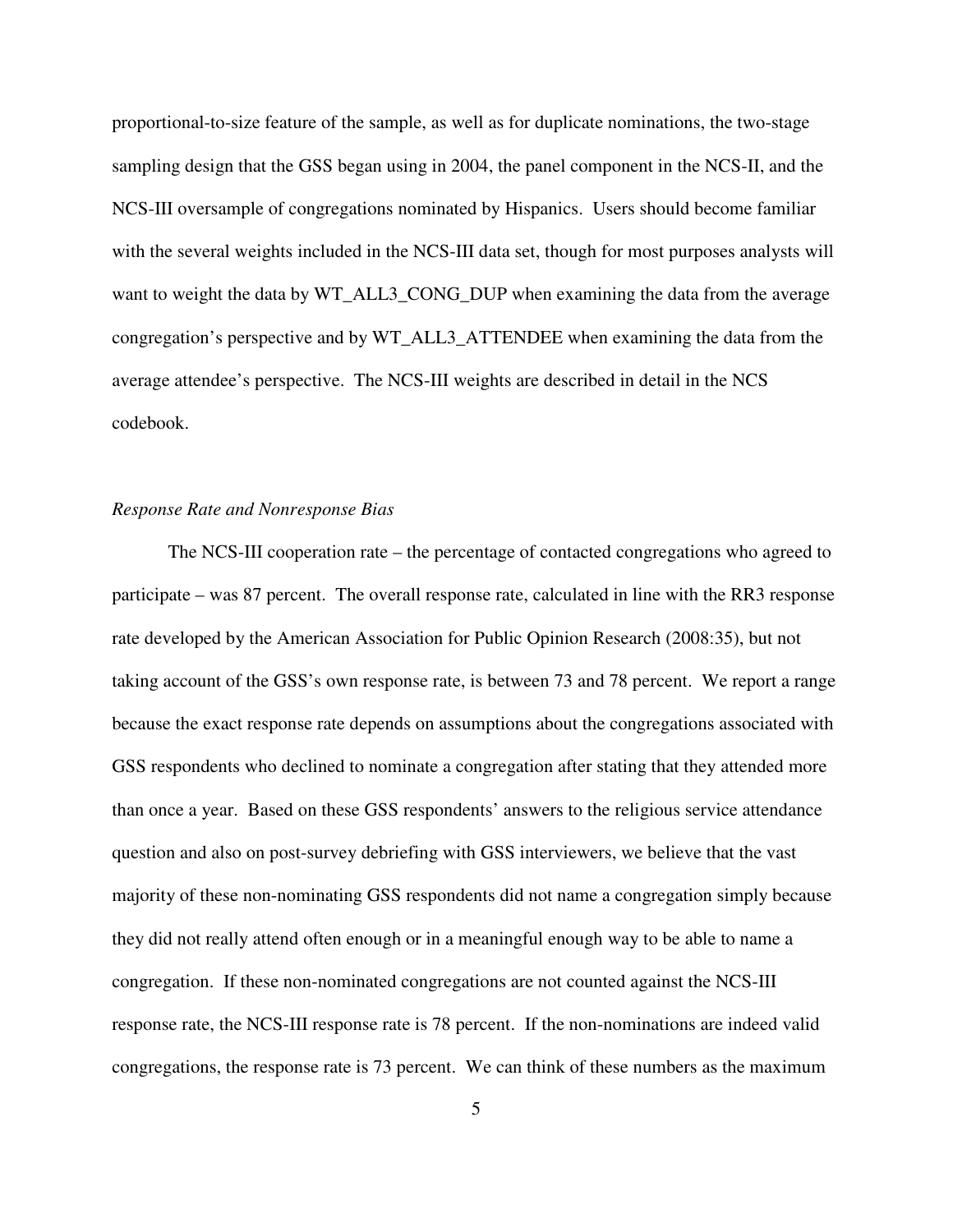proportional-to-size feature of the sample, as well as for duplicate nominations, the two-stage sampling design that the GSS began using in 2004, the panel component in the NCS-II, and the NCS-III oversample of congregations nominated by Hispanics. Users should become familiar with the several weights included in the NCS-III data set, though for most purposes analysts will want to weight the data by WT\_ALL3\_CONG\_DUP when examining the data from the average congregation's perspective and by WT\_ALL3\_ATTENDEE when examining the data from the average attendee's perspective. The NCS-III weights are described in detail in the NCS codebook.

# *Response Rate and Nonresponse Bias*

The NCS-III cooperation rate – the percentage of contacted congregations who agreed to participate – was 87 percent. The overall response rate, calculated in line with the RR3 response rate developed by the American Association for Public Opinion Research (2008:35), but not taking account of the GSS's own response rate, is between 73 and 78 percent. We report a range because the exact response rate depends on assumptions about the congregations associated with GSS respondents who declined to nominate a congregation after stating that they attended more than once a year. Based on these GSS respondents' answers to the religious service attendance question and also on post-survey debriefing with GSS interviewers, we believe that the vast majority of these non-nominating GSS respondents did not name a congregation simply because they did not really attend often enough or in a meaningful enough way to be able to name a congregation. If these non-nominated congregations are not counted against the NCS-III response rate, the NCS-III response rate is 78 percent. If the non-nominations are indeed valid congregations, the response rate is 73 percent. We can think of these numbers as the maximum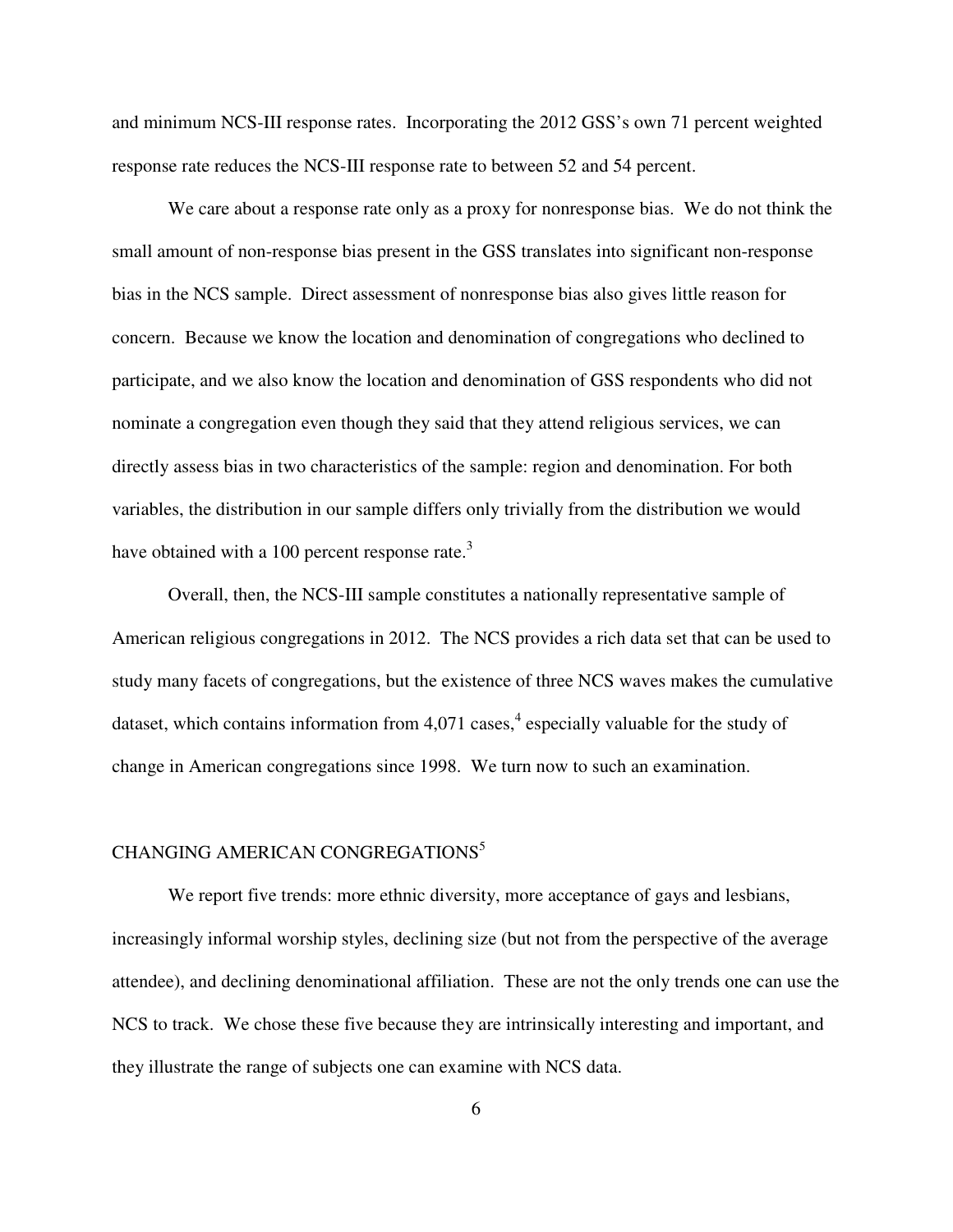and minimum NCS-III response rates. Incorporating the 2012 GSS's own 71 percent weighted response rate reduces the NCS-III response rate to between 52 and 54 percent.

We care about a response rate only as a proxy for nonresponse bias. We do not think the small amount of non-response bias present in the GSS translates into significant non-response bias in the NCS sample. Direct assessment of nonresponse bias also gives little reason for concern. Because we know the location and denomination of congregations who declined to participate, and we also know the location and denomination of GSS respondents who did not nominate a congregation even though they said that they attend religious services, we can directly assess bias in two characteristics of the sample: region and denomination. For both variables, the distribution in our sample differs only trivially from the distribution we would have obtained with a 100 percent response rate. $3$ 

Overall, then, the NCS-III sample constitutes a nationally representative sample of American religious congregations in 2012. The NCS provides a rich data set that can be used to study many facets of congregations, but the existence of three NCS waves makes the cumulative dataset, which contains information from 4,071 cases,<sup>4</sup> especially valuable for the study of change in American congregations since 1998. We turn now to such an examination.

## CHANGING AMERICAN CONGREGATIONS<sup>5</sup>

We report five trends: more ethnic diversity, more acceptance of gays and lesbians, increasingly informal worship styles, declining size (but not from the perspective of the average attendee), and declining denominational affiliation. These are not the only trends one can use the NCS to track. We chose these five because they are intrinsically interesting and important, and they illustrate the range of subjects one can examine with NCS data.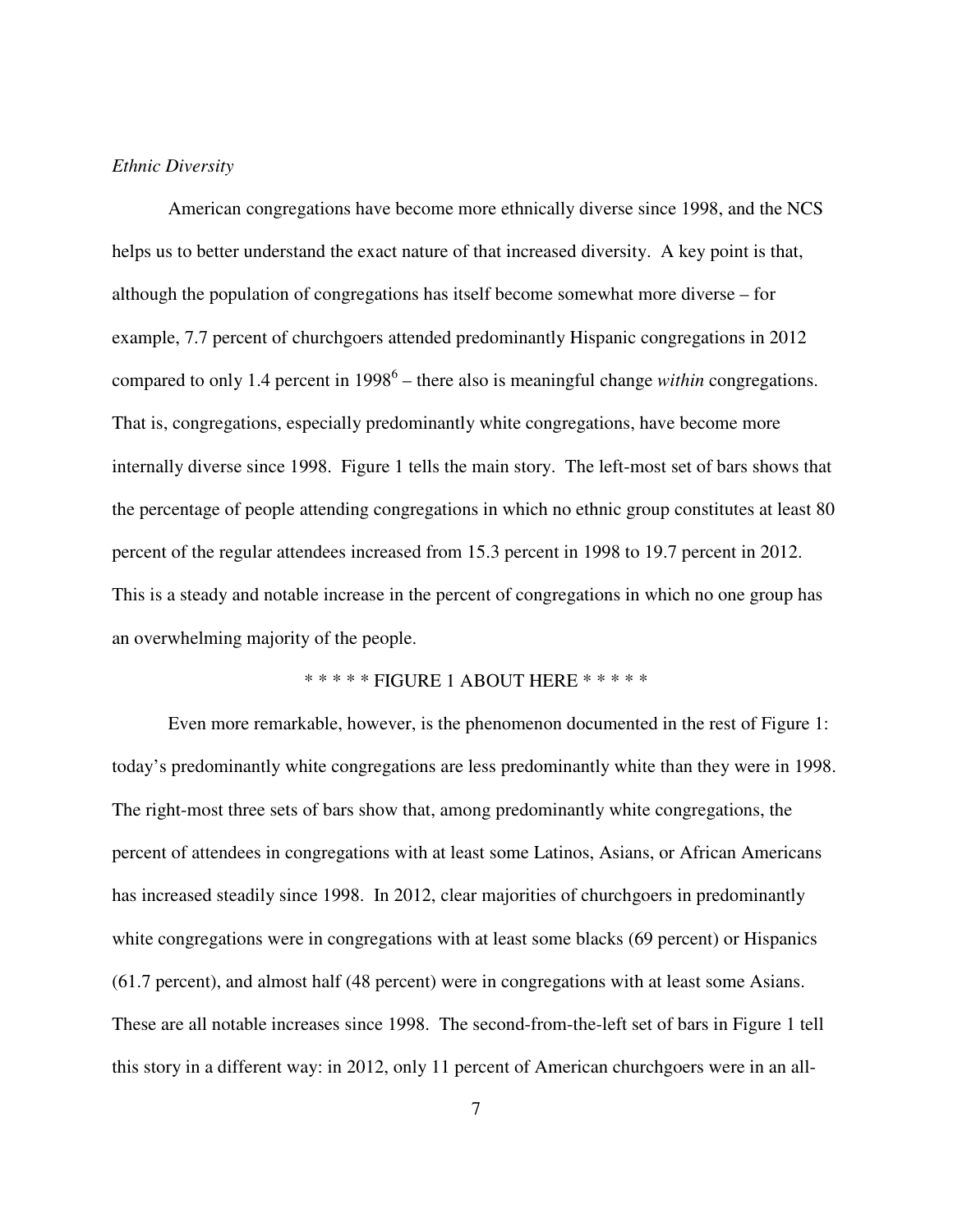## *Ethnic Diversity*

American congregations have become more ethnically diverse since 1998, and the NCS helps us to better understand the exact nature of that increased diversity. A key point is that, although the population of congregations has itself become somewhat more diverse – for example, 7.7 percent of churchgoers attended predominantly Hispanic congregations in 2012 compared to only 1.4 percent in 1998<sup>6</sup> – there also is meaningful change *within* congregations. That is, congregations, especially predominantly white congregations, have become more internally diverse since 1998. Figure 1 tells the main story. The left-most set of bars shows that the percentage of people attending congregations in which no ethnic group constitutes at least 80 percent of the regular attendees increased from 15.3 percent in 1998 to 19.7 percent in 2012. This is a steady and notable increase in the percent of congregations in which no one group has an overwhelming majority of the people.

# \* \* \* \* \* FIGURE 1 ABOUT HERE \* \* \* \* \*

Even more remarkable, however, is the phenomenon documented in the rest of Figure 1: today's predominantly white congregations are less predominantly white than they were in 1998. The right-most three sets of bars show that, among predominantly white congregations, the percent of attendees in congregations with at least some Latinos, Asians, or African Americans has increased steadily since 1998. In 2012, clear majorities of churchgoers in predominantly white congregations were in congregations with at least some blacks (69 percent) or Hispanics (61.7 percent), and almost half (48 percent) were in congregations with at least some Asians. These are all notable increases since 1998. The second-from-the-left set of bars in Figure 1 tell this story in a different way: in 2012, only 11 percent of American churchgoers were in an all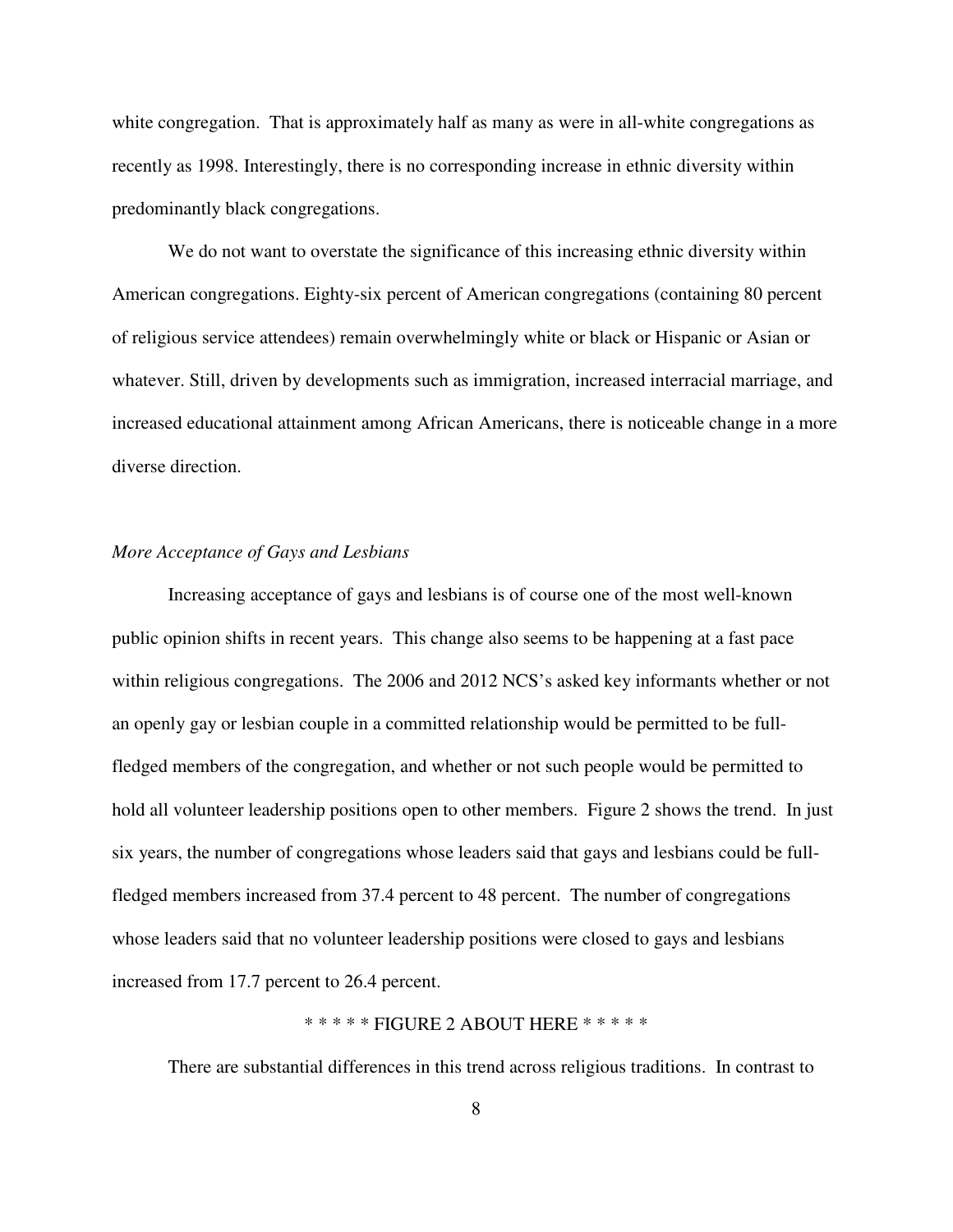white congregation. That is approximately half as many as were in all-white congregations as recently as 1998. Interestingly, there is no corresponding increase in ethnic diversity within predominantly black congregations.

We do not want to overstate the significance of this increasing ethnic diversity within American congregations. Eighty-six percent of American congregations (containing 80 percent of religious service attendees) remain overwhelmingly white or black or Hispanic or Asian or whatever. Still, driven by developments such as immigration, increased interracial marriage, and increased educational attainment among African Americans, there is noticeable change in a more diverse direction.

## *More Acceptance of Gays and Lesbians*

Increasing acceptance of gays and lesbians is of course one of the most well-known public opinion shifts in recent years. This change also seems to be happening at a fast pace within religious congregations. The 2006 and 2012 NCS's asked key informants whether or not an openly gay or lesbian couple in a committed relationship would be permitted to be fullfledged members of the congregation, and whether or not such people would be permitted to hold all volunteer leadership positions open to other members. Figure 2 shows the trend. In just six years, the number of congregations whose leaders said that gays and lesbians could be fullfledged members increased from 37.4 percent to 48 percent. The number of congregations whose leaders said that no volunteer leadership positions were closed to gays and lesbians increased from 17.7 percent to 26.4 percent.

# \* \* \* \* \* FIGURE 2 ABOUT HERE \* \* \* \* \*

There are substantial differences in this trend across religious traditions. In contrast to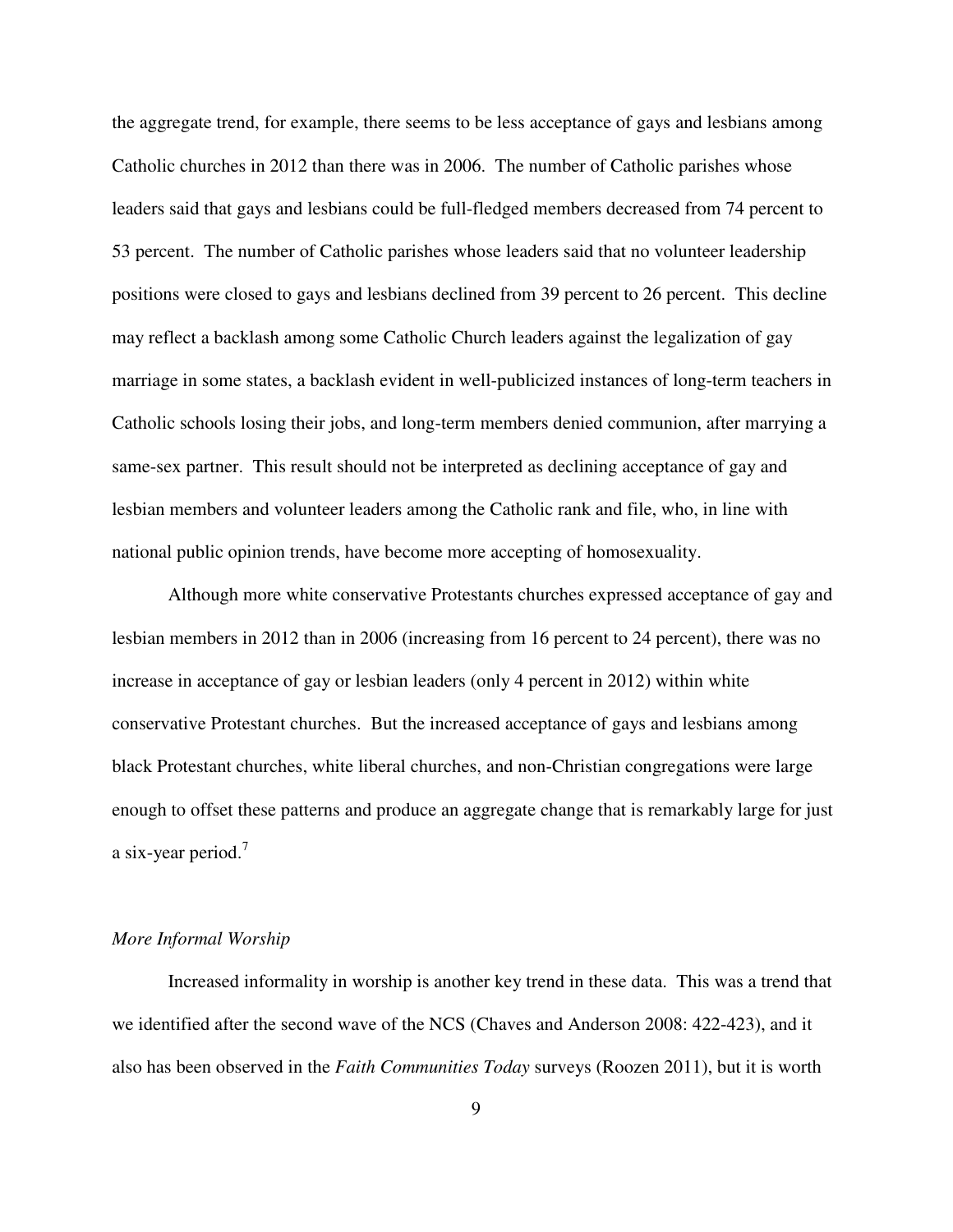the aggregate trend, for example, there seems to be less acceptance of gays and lesbians among Catholic churches in 2012 than there was in 2006. The number of Catholic parishes whose leaders said that gays and lesbians could be full-fledged members decreased from 74 percent to 53 percent. The number of Catholic parishes whose leaders said that no volunteer leadership positions were closed to gays and lesbians declined from 39 percent to 26 percent. This decline may reflect a backlash among some Catholic Church leaders against the legalization of gay marriage in some states, a backlash evident in well-publicized instances of long-term teachers in Catholic schools losing their jobs, and long-term members denied communion, after marrying a same-sex partner. This result should not be interpreted as declining acceptance of gay and lesbian members and volunteer leaders among the Catholic rank and file, who, in line with national public opinion trends, have become more accepting of homosexuality.

Although more white conservative Protestants churches expressed acceptance of gay and lesbian members in 2012 than in 2006 (increasing from 16 percent to 24 percent), there was no increase in acceptance of gay or lesbian leaders (only 4 percent in 2012) within white conservative Protestant churches. But the increased acceptance of gays and lesbians among black Protestant churches, white liberal churches, and non-Christian congregations were large enough to offset these patterns and produce an aggregate change that is remarkably large for just a six-year period.<sup>7</sup>

# *More Informal Worship*

Increased informality in worship is another key trend in these data. This was a trend that we identified after the second wave of the NCS (Chaves and Anderson 2008: 422-423), and it also has been observed in the *Faith Communities Today* surveys (Roozen 2011), but it is worth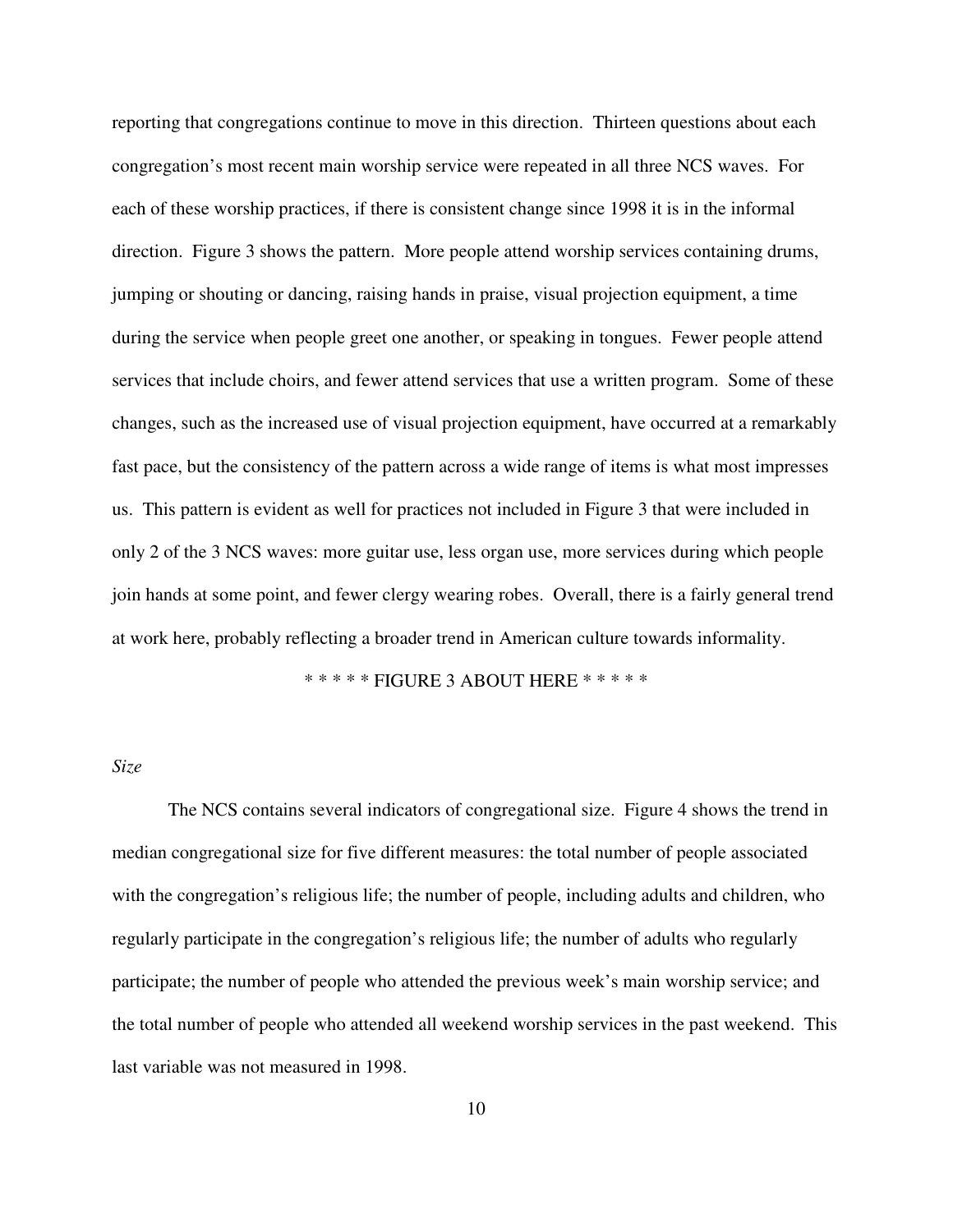reporting that congregations continue to move in this direction. Thirteen questions about each congregation's most recent main worship service were repeated in all three NCS waves. For each of these worship practices, if there is consistent change since 1998 it is in the informal direction. Figure 3 shows the pattern. More people attend worship services containing drums, jumping or shouting or dancing, raising hands in praise, visual projection equipment, a time during the service when people greet one another, or speaking in tongues. Fewer people attend services that include choirs, and fewer attend services that use a written program. Some of these changes, such as the increased use of visual projection equipment, have occurred at a remarkably fast pace, but the consistency of the pattern across a wide range of items is what most impresses us. This pattern is evident as well for practices not included in Figure 3 that were included in only 2 of the 3 NCS waves: more guitar use, less organ use, more services during which people join hands at some point, and fewer clergy wearing robes. Overall, there is a fairly general trend at work here, probably reflecting a broader trend in American culture towards informality.

\* \* \* \* \* FIGURE 3 ABOUT HERE \* \* \* \* \*

# *Size*

The NCS contains several indicators of congregational size. Figure 4 shows the trend in median congregational size for five different measures: the total number of people associated with the congregation's religious life; the number of people, including adults and children, who regularly participate in the congregation's religious life; the number of adults who regularly participate; the number of people who attended the previous week's main worship service; and the total number of people who attended all weekend worship services in the past weekend. This last variable was not measured in 1998.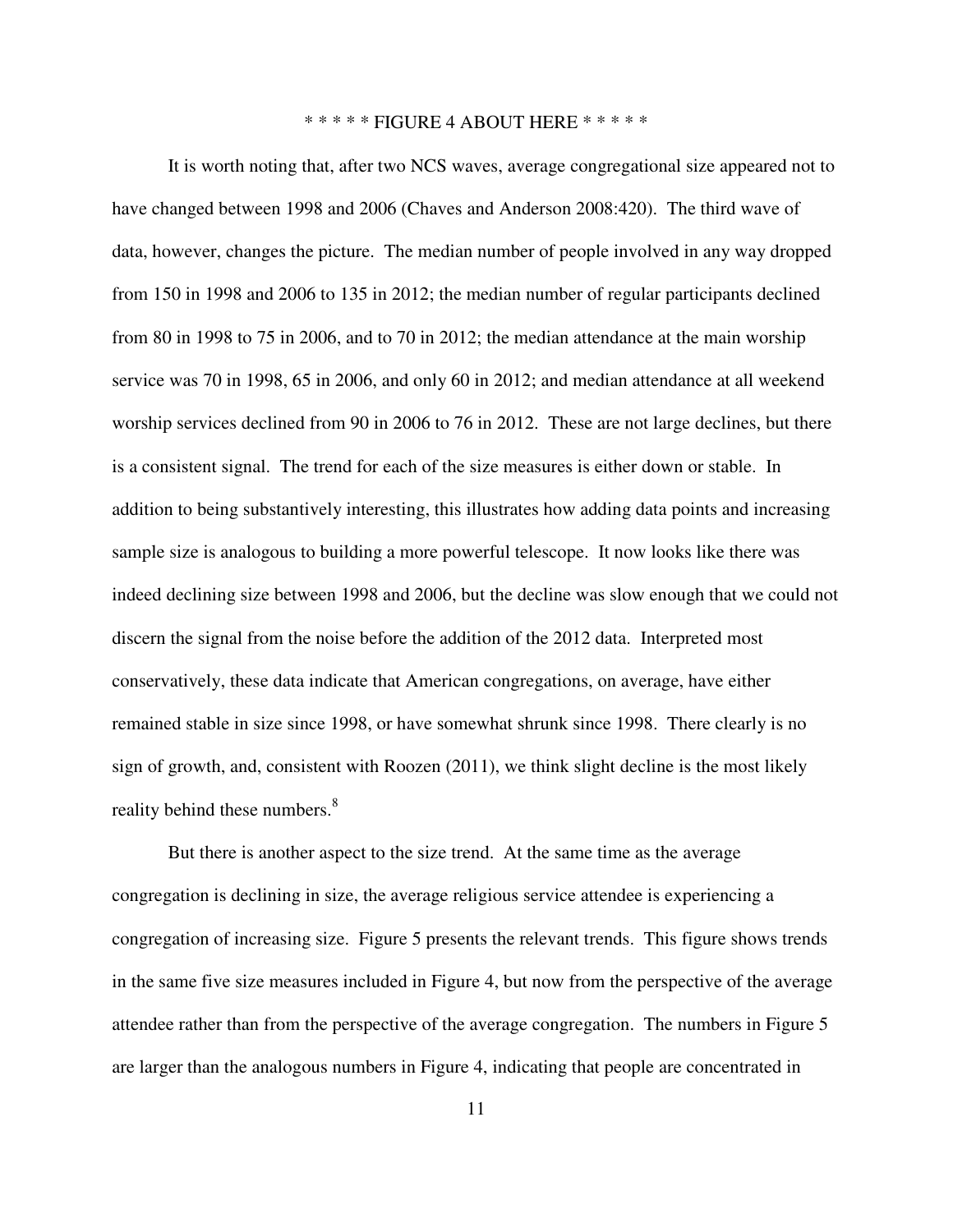### \* \* \* \* \* FIGURE 4 ABOUT HERE \* \* \* \* \*

It is worth noting that, after two NCS waves, average congregational size appeared not to have changed between 1998 and 2006 (Chaves and Anderson 2008:420). The third wave of data, however, changes the picture. The median number of people involved in any way dropped from 150 in 1998 and 2006 to 135 in 2012; the median number of regular participants declined from 80 in 1998 to 75 in 2006, and to 70 in 2012; the median attendance at the main worship service was 70 in 1998, 65 in 2006, and only 60 in 2012; and median attendance at all weekend worship services declined from 90 in 2006 to 76 in 2012. These are not large declines, but there is a consistent signal. The trend for each of the size measures is either down or stable. In addition to being substantively interesting, this illustrates how adding data points and increasing sample size is analogous to building a more powerful telescope. It now looks like there was indeed declining size between 1998 and 2006, but the decline was slow enough that we could not discern the signal from the noise before the addition of the 2012 data. Interpreted most conservatively, these data indicate that American congregations, on average, have either remained stable in size since 1998, or have somewhat shrunk since 1998. There clearly is no sign of growth, and, consistent with Roozen (2011), we think slight decline is the most likely reality behind these numbers.<sup>8</sup>

But there is another aspect to the size trend. At the same time as the average congregation is declining in size, the average religious service attendee is experiencing a congregation of increasing size. Figure 5 presents the relevant trends. This figure shows trends in the same five size measures included in Figure 4, but now from the perspective of the average attendee rather than from the perspective of the average congregation. The numbers in Figure 5 are larger than the analogous numbers in Figure 4, indicating that people are concentrated in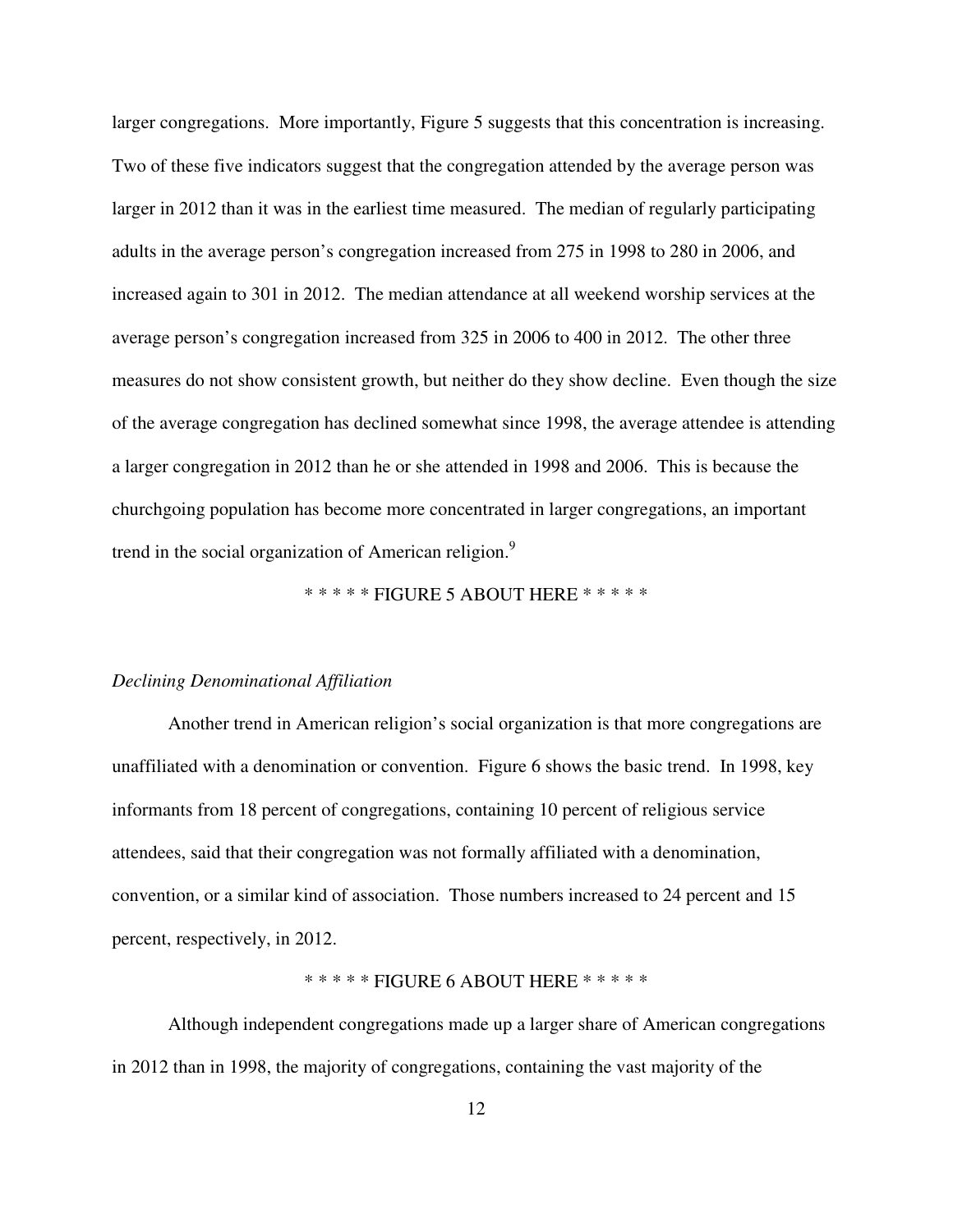larger congregations. More importantly, Figure 5 suggests that this concentration is increasing. Two of these five indicators suggest that the congregation attended by the average person was larger in 2012 than it was in the earliest time measured. The median of regularly participating adults in the average person's congregation increased from 275 in 1998 to 280 in 2006, and increased again to 301 in 2012. The median attendance at all weekend worship services at the average person's congregation increased from 325 in 2006 to 400 in 2012. The other three measures do not show consistent growth, but neither do they show decline. Even though the size of the average congregation has declined somewhat since 1998, the average attendee is attending a larger congregation in 2012 than he or she attended in 1998 and 2006. This is because the churchgoing population has become more concentrated in larger congregations, an important trend in the social organization of American religion.<sup>9</sup>

\* \* \* \* \* FIGURE 5 ABOUT HERE \* \* \* \* \*

#### *Declining Denominational Affiliation*

Another trend in American religion's social organization is that more congregations are unaffiliated with a denomination or convention. Figure 6 shows the basic trend. In 1998, key informants from 18 percent of congregations, containing 10 percent of religious service attendees, said that their congregation was not formally affiliated with a denomination, convention, or a similar kind of association. Those numbers increased to 24 percent and 15 percent, respectively, in 2012.

\* \* \* \* \* FIGURE 6 ABOUT HERE \* \* \* \* \*

Although independent congregations made up a larger share of American congregations in 2012 than in 1998, the majority of congregations, containing the vast majority of the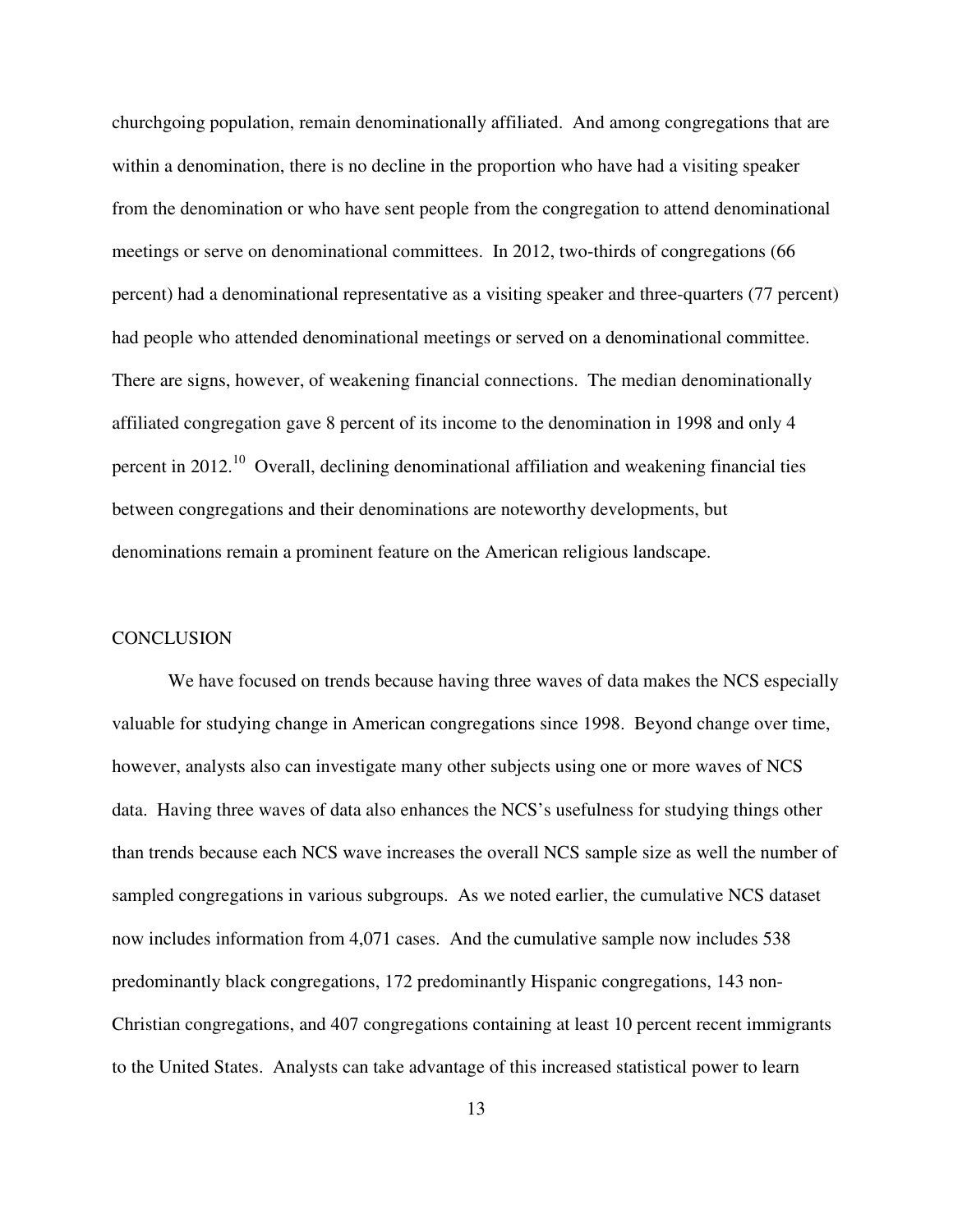churchgoing population, remain denominationally affiliated. And among congregations that are within a denomination, there is no decline in the proportion who have had a visiting speaker from the denomination or who have sent people from the congregation to attend denominational meetings or serve on denominational committees. In 2012, two-thirds of congregations (66 percent) had a denominational representative as a visiting speaker and three-quarters (77 percent) had people who attended denominational meetings or served on a denominational committee. There are signs, however, of weakening financial connections. The median denominationally affiliated congregation gave 8 percent of its income to the denomination in 1998 and only 4 percent in  $2012<sup>10</sup>$  Overall, declining denominational affiliation and weakening financial ties between congregations and their denominations are noteworthy developments, but denominations remain a prominent feature on the American religious landscape.

## **CONCLUSION**

We have focused on trends because having three waves of data makes the NCS especially valuable for studying change in American congregations since 1998. Beyond change over time, however, analysts also can investigate many other subjects using one or more waves of NCS data. Having three waves of data also enhances the NCS's usefulness for studying things other than trends because each NCS wave increases the overall NCS sample size as well the number of sampled congregations in various subgroups. As we noted earlier, the cumulative NCS dataset now includes information from 4,071 cases. And the cumulative sample now includes 538 predominantly black congregations, 172 predominantly Hispanic congregations, 143 non-Christian congregations, and 407 congregations containing at least 10 percent recent immigrants to the United States. Analysts can take advantage of this increased statistical power to learn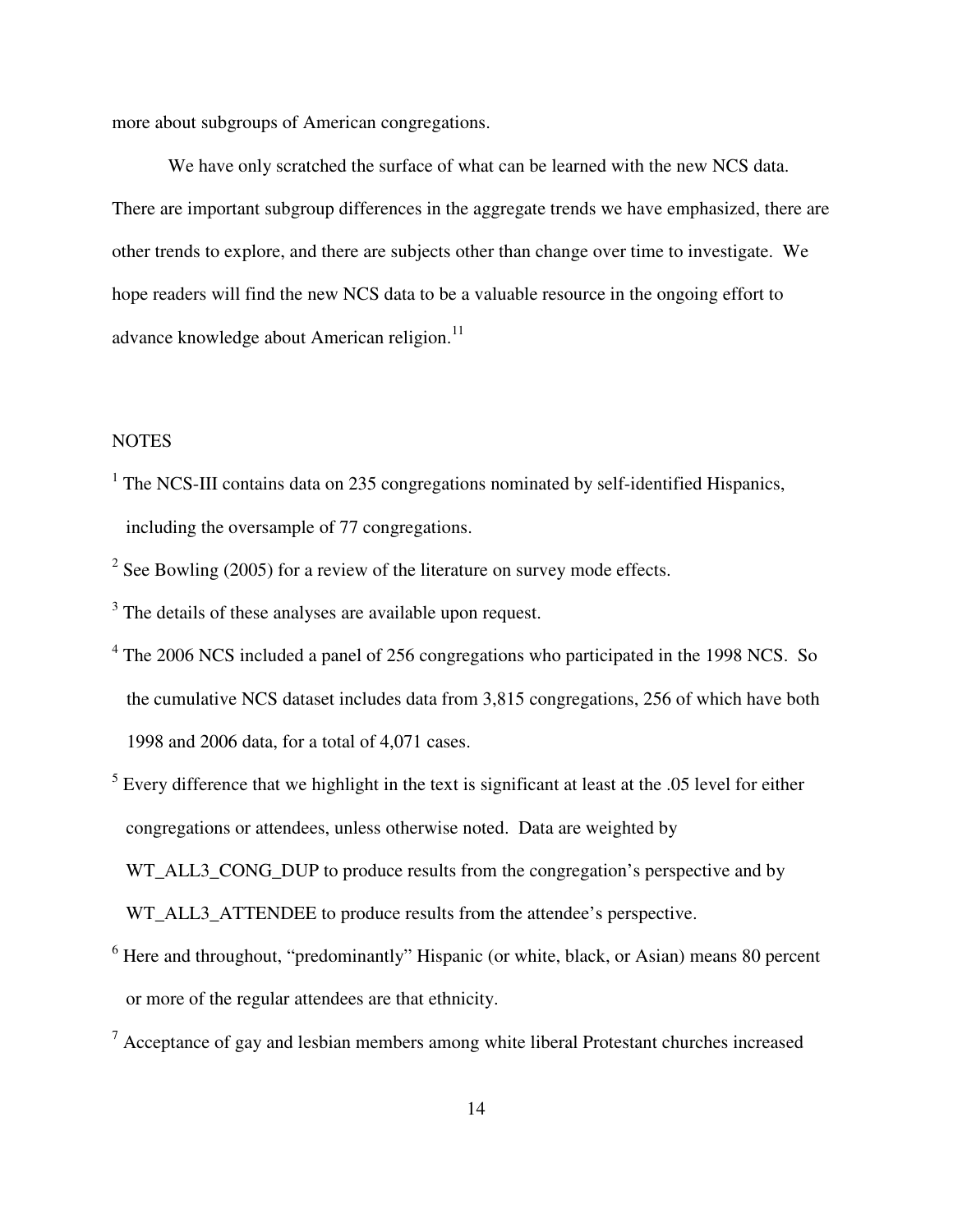more about subgroups of American congregations.

We have only scratched the surface of what can be learned with the new NCS data. There are important subgroup differences in the aggregate trends we have emphasized, there are other trends to explore, and there are subjects other than change over time to investigate. We hope readers will find the new NCS data to be a valuable resource in the ongoing effort to advance knowledge about American religion. $^{11}$ 

## **NOTES**

- <sup>1</sup> The NCS-III contains data on 235 congregations nominated by self-identified Hispanics, including the oversample of 77 congregations.
- <sup>2</sup> See Bowling (2005) for a review of the literature on survey mode effects.
- <sup>3</sup> The details of these analyses are available upon request.
- <sup>4</sup> The 2006 NCS included a panel of 256 congregations who participated in the 1998 NCS. So the cumulative NCS dataset includes data from 3,815 congregations, 256 of which have both 1998 and 2006 data, for a total of 4,071 cases.
- $<sup>5</sup>$  Every difference that we highlight in the text is significant at least at the .05 level for either</sup> congregations or attendees, unless otherwise noted. Data are weighted by WT\_ALL3\_CONG\_DUP to produce results from the congregation's perspective and by WT\_ALL3\_ATTENDEE to produce results from the attendee's perspective.
- <sup>6</sup> Here and throughout, "predominantly" Hispanic (or white, black, or Asian) means 80 percent or more of the regular attendees are that ethnicity.
- $7$  Acceptance of gay and lesbian members among white liberal Protestant churches increased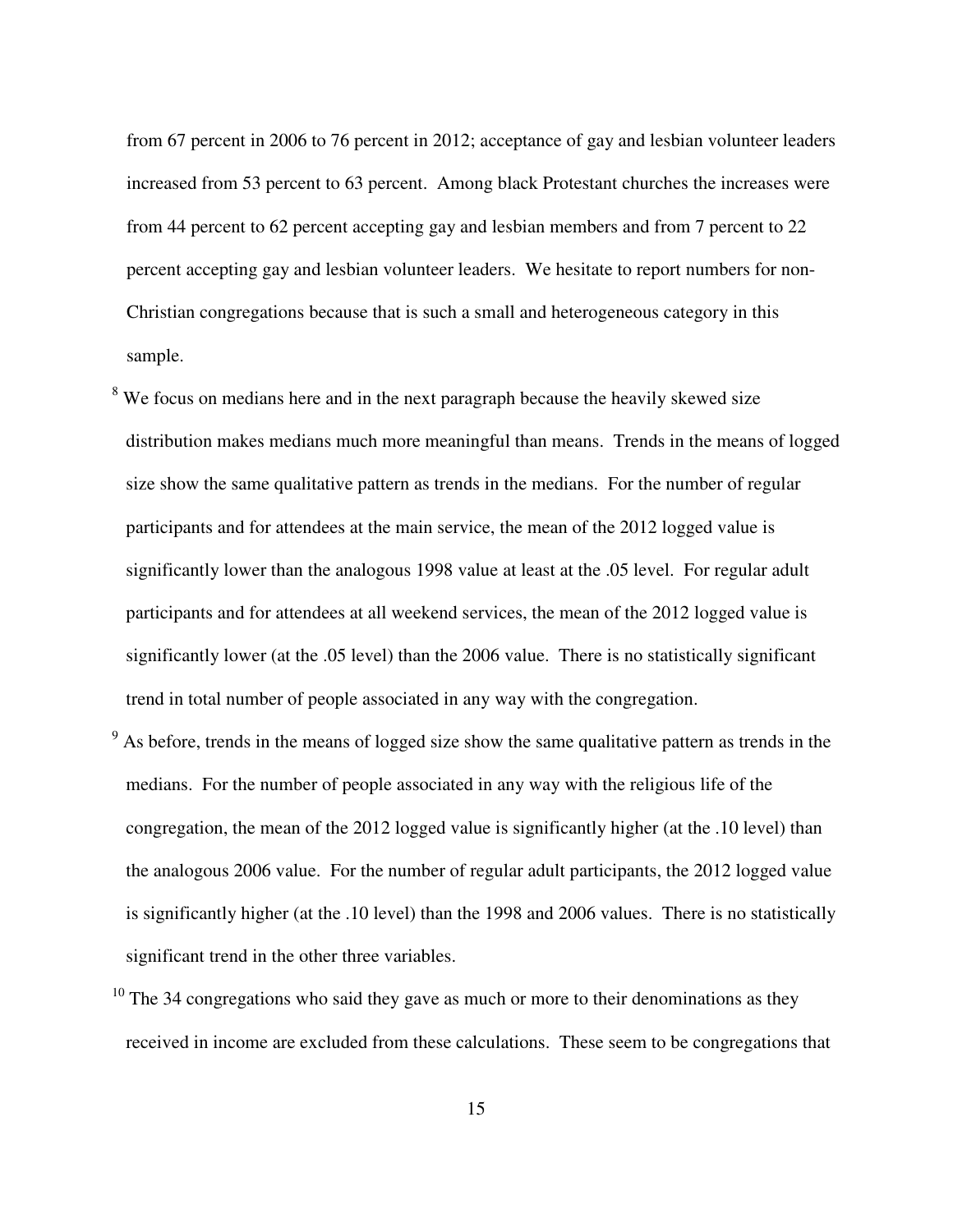from 67 percent in 2006 to 76 percent in 2012; acceptance of gay and lesbian volunteer leaders increased from 53 percent to 63 percent. Among black Protestant churches the increases were from 44 percent to 62 percent accepting gay and lesbian members and from 7 percent to 22 percent accepting gay and lesbian volunteer leaders. We hesitate to report numbers for non-Christian congregations because that is such a small and heterogeneous category in this sample.

- <sup>8</sup> We focus on medians here and in the next paragraph because the heavily skewed size distribution makes medians much more meaningful than means. Trends in the means of logged size show the same qualitative pattern as trends in the medians. For the number of regular participants and for attendees at the main service, the mean of the 2012 logged value is significantly lower than the analogous 1998 value at least at the .05 level. For regular adult participants and for attendees at all weekend services, the mean of the 2012 logged value is significantly lower (at the .05 level) than the 2006 value. There is no statistically significant trend in total number of people associated in any way with the congregation.
- $9<sup>9</sup>$  As before, trends in the means of logged size show the same qualitative pattern as trends in the medians. For the number of people associated in any way with the religious life of the congregation, the mean of the 2012 logged value is significantly higher (at the .10 level) than the analogous 2006 value. For the number of regular adult participants, the 2012 logged value is significantly higher (at the .10 level) than the 1998 and 2006 values. There is no statistically significant trend in the other three variables.
- $10$  The 34 congregations who said they gave as much or more to their denominations as they received in income are excluded from these calculations. These seem to be congregations that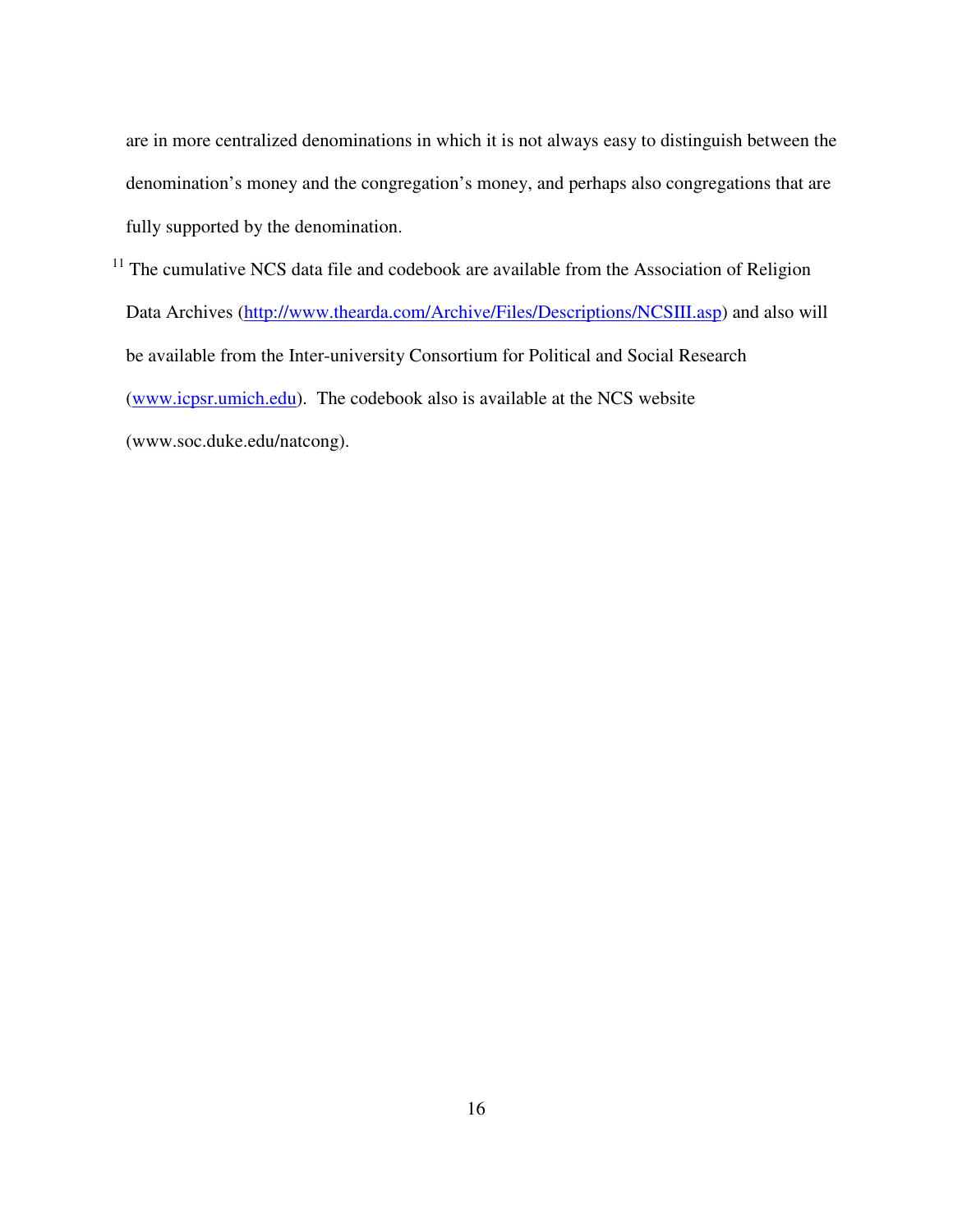are in more centralized denominations in which it is not always easy to distinguish between the denomination's money and the congregation's money, and perhaps also congregations that are fully supported by the denomination.

 $11$  The cumulative NCS data file and codebook are available from the Association of Religion Data Archives (http://www.thearda.com/Archive/Files/Descriptions/NCSIII.asp) and also will be available from the Inter-university Consortium for Political and Social Research (www.icpsr.umich.edu). The codebook also is available at the NCS website

(www.soc.duke.edu/natcong).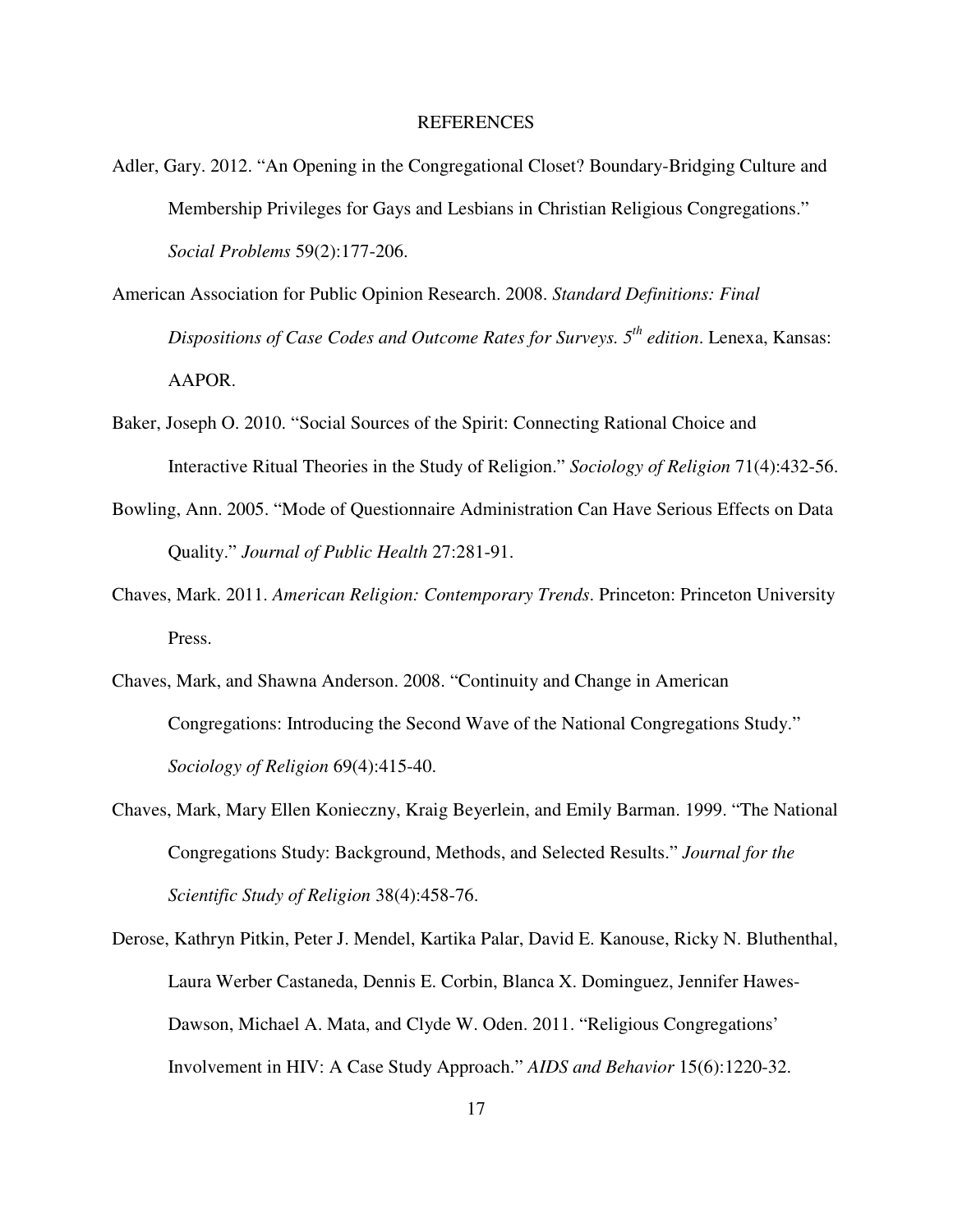#### REFERENCES

- Adler, Gary. 2012. "An Opening in the Congregational Closet? Boundary-Bridging Culture and Membership Privileges for Gays and Lesbians in Christian Religious Congregations." *Social Problems* 59(2):177-206.
- American Association for Public Opinion Research. 2008. *Standard Definitions: Final Dispositions of Case Codes and Outcome Rates for Surveys. 5th edition*. Lenexa, Kansas: AAPOR.
- Baker, Joseph O. 2010. "Social Sources of the Spirit: Connecting Rational Choice and Interactive Ritual Theories in the Study of Religion." *Sociology of Religion* 71(4):432-56.
- Bowling, Ann. 2005. "Mode of Questionnaire Administration Can Have Serious Effects on Data Quality." *Journal of Public Health* 27:281-91.
- Chaves, Mark. 2011. *American Religion: Contemporary Trends*. Princeton: Princeton University Press.
- Chaves, Mark, and Shawna Anderson. 2008. "Continuity and Change in American Congregations: Introducing the Second Wave of the National Congregations Study." *Sociology of Religion* 69(4):415-40.
- Chaves, Mark, Mary Ellen Konieczny, Kraig Beyerlein, and Emily Barman. 1999. "The National Congregations Study: Background, Methods, and Selected Results." *Journal for the Scientific Study of Religion* 38(4):458-76.
- Derose, Kathryn Pitkin, Peter J. Mendel, Kartika Palar, David E. Kanouse, Ricky N. Bluthenthal, Laura Werber Castaneda, Dennis E. Corbin, Blanca X. Dominguez, Jennifer Hawes-Dawson, Michael A. Mata, and Clyde W. Oden. 2011. "Religious Congregations' Involvement in HIV: A Case Study Approach." *AIDS and Behavior* 15(6):1220-32.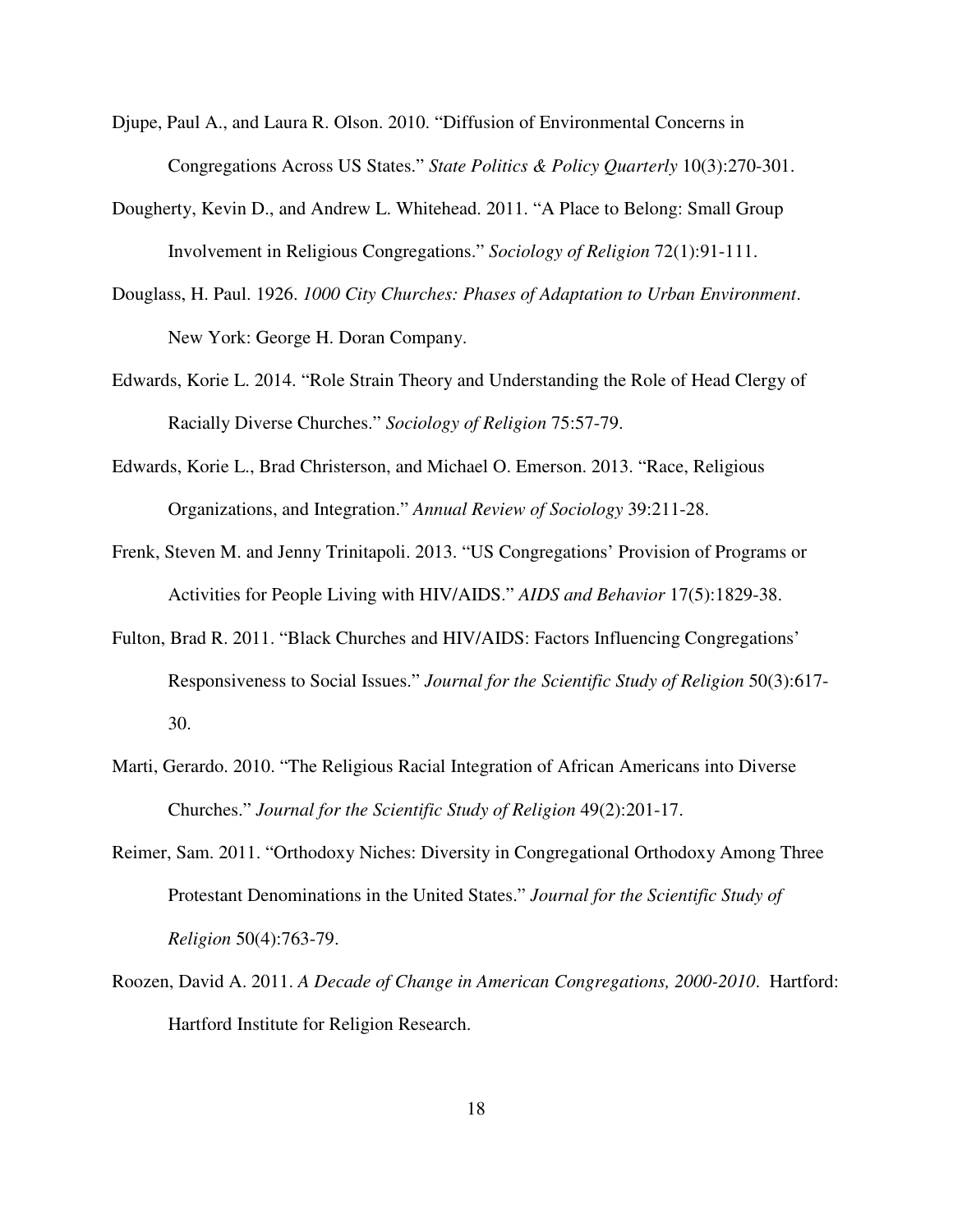- Djupe, Paul A., and Laura R. Olson. 2010. "Diffusion of Environmental Concerns in Congregations Across US States." *State Politics & Policy Quarterly* 10(3):270-301.
- Dougherty, Kevin D., and Andrew L. Whitehead. 2011. "A Place to Belong: Small Group Involvement in Religious Congregations." *Sociology of Religion* 72(1):91-111.
- Douglass, H. Paul. 1926. *1000 City Churches: Phases of Adaptation to Urban Environment*. New York: George H. Doran Company.
- Edwards, Korie L. 2014. "Role Strain Theory and Understanding the Role of Head Clergy of Racially Diverse Churches." *Sociology of Religion* 75:57-79.
- Edwards, Korie L., Brad Christerson, and Michael O. Emerson. 2013. "Race, Religious Organizations, and Integration." *Annual Review of Sociology* 39:211-28.
- Frenk, Steven M. and Jenny Trinitapoli. 2013. "US Congregations' Provision of Programs or Activities for People Living with HIV/AIDS." *AIDS and Behavior* 17(5):1829-38.
- Fulton, Brad R. 2011. "Black Churches and HIV/AIDS: Factors Influencing Congregations' Responsiveness to Social Issues." *Journal for the Scientific Study of Religion* 50(3):617- 30.
- Marti, Gerardo. 2010. "The Religious Racial Integration of African Americans into Diverse Churches." *Journal for the Scientific Study of Religion* 49(2):201-17.
- Reimer, Sam. 2011. "Orthodoxy Niches: Diversity in Congregational Orthodoxy Among Three Protestant Denominations in the United States." *Journal for the Scientific Study of Religion* 50(4):763-79.
- Roozen, David A. 2011. *A Decade of Change in American Congregations, 2000-2010*. Hartford: Hartford Institute for Religion Research.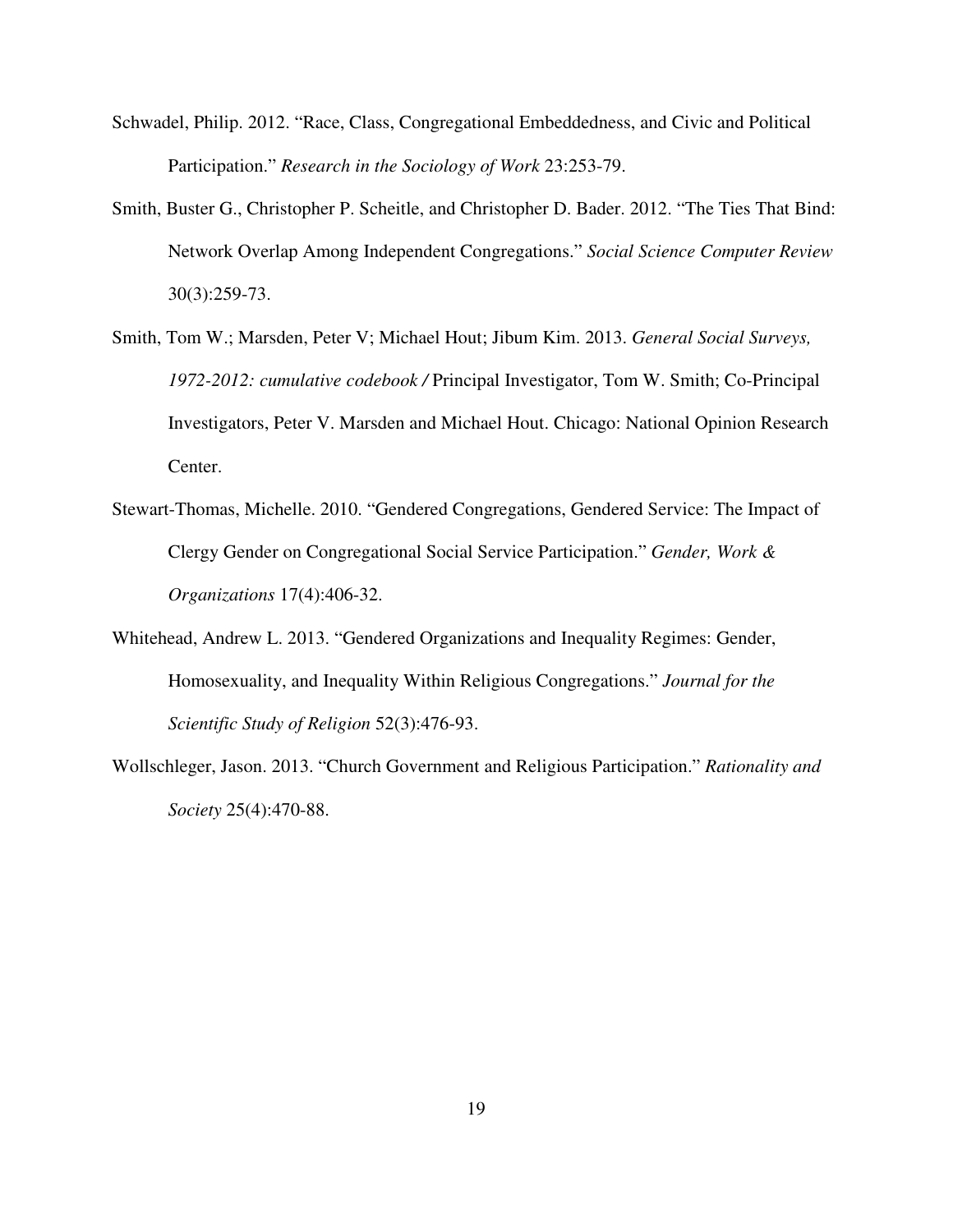- Schwadel, Philip. 2012. "Race, Class, Congregational Embeddedness, and Civic and Political Participation." *Research in the Sociology of Work* 23:253-79.
- Smith, Buster G., Christopher P. Scheitle, and Christopher D. Bader. 2012. "The Ties That Bind: Network Overlap Among Independent Congregations." *Social Science Computer Review* 30(3):259-73.
- Smith, Tom W.; Marsden, Peter V; Michael Hout; Jibum Kim. 2013. *General Social Surveys, 1972-2012: cumulative codebook /* Principal Investigator, Tom W. Smith; Co-Principal Investigators, Peter V. Marsden and Michael Hout. Chicago: National Opinion Research Center.
- Stewart-Thomas, Michelle. 2010. "Gendered Congregations, Gendered Service: The Impact of Clergy Gender on Congregational Social Service Participation." *Gender, Work & Organizations* 17(4):406-32.
- Whitehead, Andrew L. 2013. "Gendered Organizations and Inequality Regimes: Gender, Homosexuality, and Inequality Within Religious Congregations." *Journal for the Scientific Study of Religion* 52(3):476-93.
- Wollschleger, Jason. 2013. "Church Government and Religious Participation." *Rationality and Society* 25(4):470-88.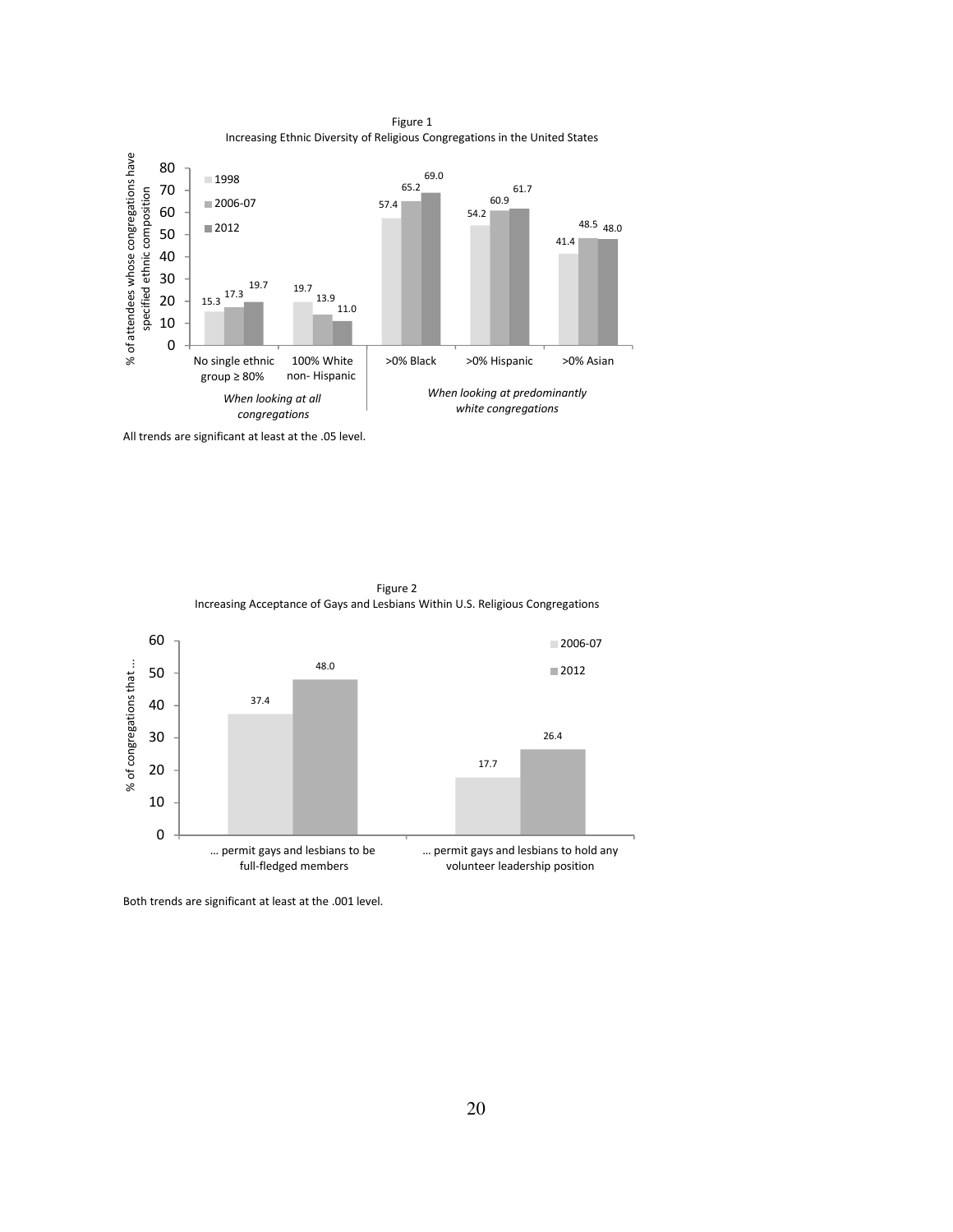

Figure 1

All trends are significant at least at the .05 level.





Both trends are significant at least at the .001 level.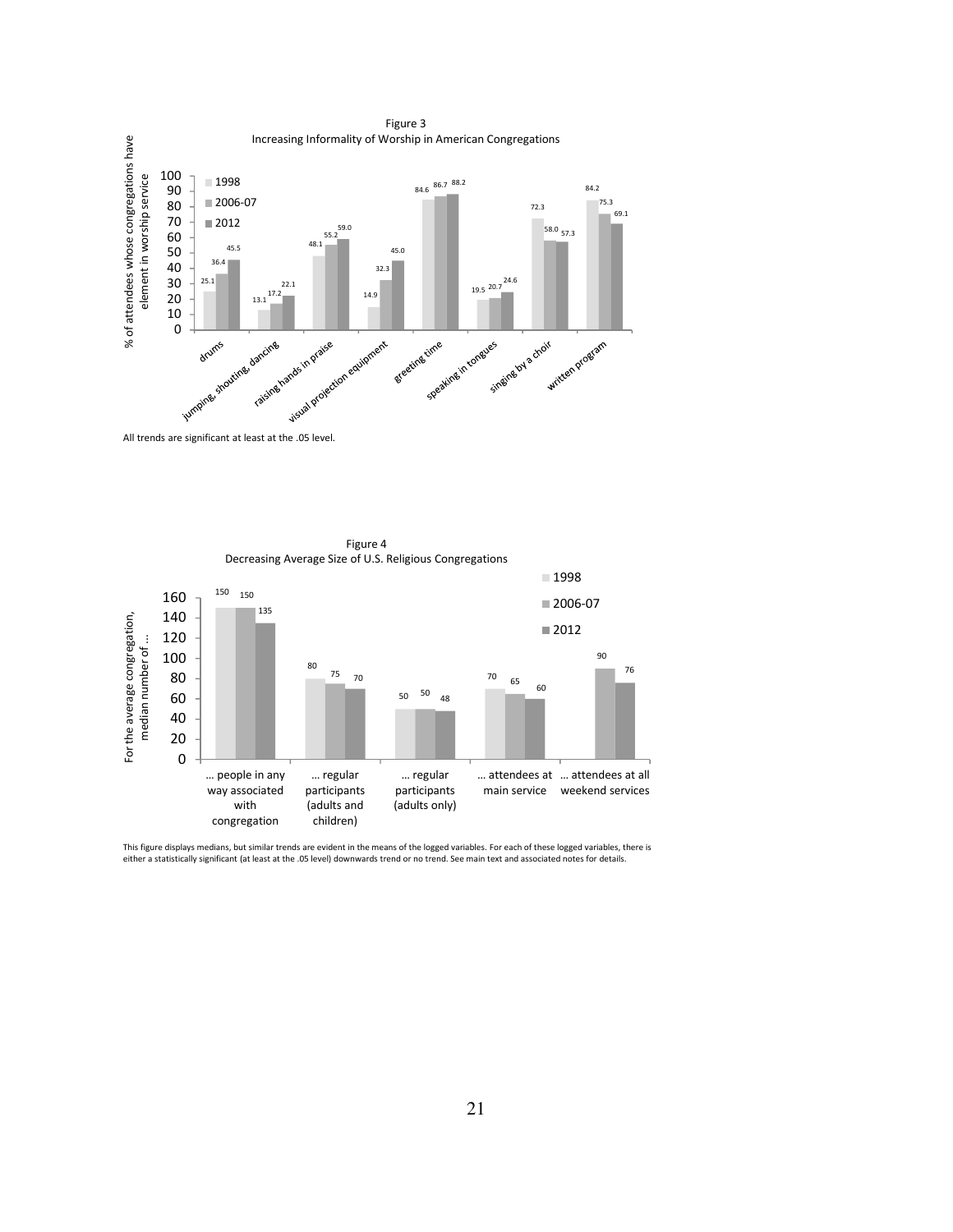

Figure 4 Decreasing Average Size of U.S. Religious Congregations ■1998 160 150 150 ■2006-07 135 For the average congregation, For the average congregation, 140 ■2012 120 median number of ... median number of ... 100 90 80 76 75 80 70 70 65 60 50 60 50 48 40 20 0 … people in any … regular … regular … attendees at … attendees at all way associated participants participants main service weekend services with (adults and (adults only) congregation children)

This figure displays medians, but similar trends are evident in the means of the logged variables. For each of these logged variables, there is<br>either a statistically significant (at least at the .05 level) downwards trend